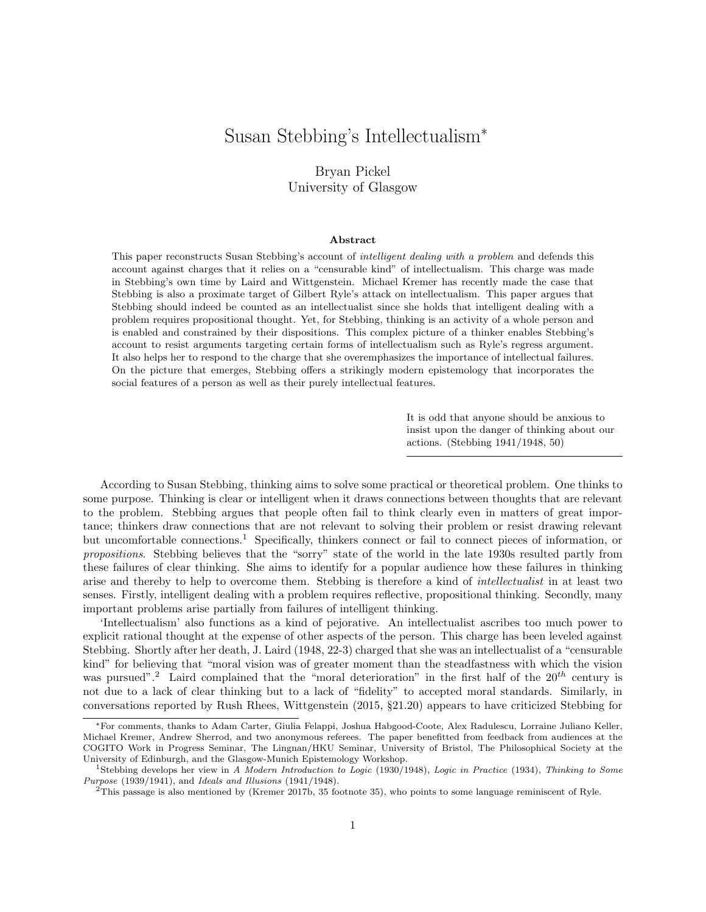# Susan Stebbing's Intellectualism<sup>∗</sup>

### Bryan Pickel University of Glasgow

#### Abstract

This paper reconstructs Susan Stebbing's account of intelligent dealing with a problem and defends this account against charges that it relies on a "censurable kind" of intellectualism. This charge was made in Stebbing's own time by Laird and Wittgenstein. Michael Kremer has recently made the case that Stebbing is also a proximate target of Gilbert Ryle's attack on intellectualism. This paper argues that Stebbing should indeed be counted as an intellectualist since she holds that intelligent dealing with a problem requires propositional thought. Yet, for Stebbing, thinking is an activity of a whole person and is enabled and constrained by their dispositions. This complex picture of a thinker enables Stebbing's account to resist arguments targeting certain forms of intellectualism such as Ryle's regress argument. It also helps her to respond to the charge that she overemphasizes the importance of intellectual failures. On the picture that emerges, Stebbing offers a strikingly modern epistemology that incorporates the social features of a person as well as their purely intellectual features.

> It is odd that anyone should be anxious to insist upon the danger of thinking about our actions. (Stebbing 1941/1948, 50)

According to Susan Stebbing, thinking aims to solve some practical or theoretical problem. One thinks to some purpose. Thinking is clear or intelligent when it draws connections between thoughts that are relevant to the problem. Stebbing argues that people often fail to think clearly even in matters of great importance; thinkers draw connections that are not relevant to solving their problem or resist drawing relevant but uncomfortable connections.<sup>1</sup> Specifically, thinkers connect or fail to connect pieces of information, or propositions. Stebbing believes that the "sorry" state of the world in the late 1930s resulted partly from these failures of clear thinking. She aims to identify for a popular audience how these failures in thinking arise and thereby to help to overcome them. Stebbing is therefore a kind of intellectualist in at least two senses. Firstly, intelligent dealing with a problem requires reflective, propositional thinking. Secondly, many important problems arise partially from failures of intelligent thinking.

'Intellectualism' also functions as a kind of pejorative. An intellectualist ascribes too much power to explicit rational thought at the expense of other aspects of the person. This charge has been leveled against Stebbing. Shortly after her death, J. Laird (1948, 22-3) charged that she was an intellectualist of a "censurable kind" for believing that "moral vision was of greater moment than the steadfastness with which the vision was pursued".<sup>2</sup> Laird complained that the "moral deterioration" in the first half of the  $20^{th}$  century is not due to a lack of clear thinking but to a lack of "fidelity" to accepted moral standards. Similarly, in conversations reported by Rush Rhees, Wittgenstein (2015, §21.20) appears to have criticized Stebbing for

<sup>∗</sup>For comments, thanks to Adam Carter, Giulia Felappi, Joshua Habgood-Coote, Alex Radulescu, Lorraine Juliano Keller, Michael Kremer, Andrew Sherrod, and two anonymous referees. The paper benefitted from feedback from audiences at the COGITO Work in Progress Seminar, The Lingnan/HKU Seminar, University of Bristol, The Philosophical Society at the University of Edinburgh, and the Glasgow-Munich Epistemology Workshop.

<sup>&</sup>lt;sup>1</sup>Stebbing develops her view in A Modern Introduction to Logic (1930/1948), Logic in Practice (1934), Thinking to Some Purpose (1939/1941), and Ideals and Illusions (1941/1948).

<sup>2</sup>This passage is also mentioned by (Kremer 2017b, 35 footnote 35), who points to some language reminiscent of Ryle.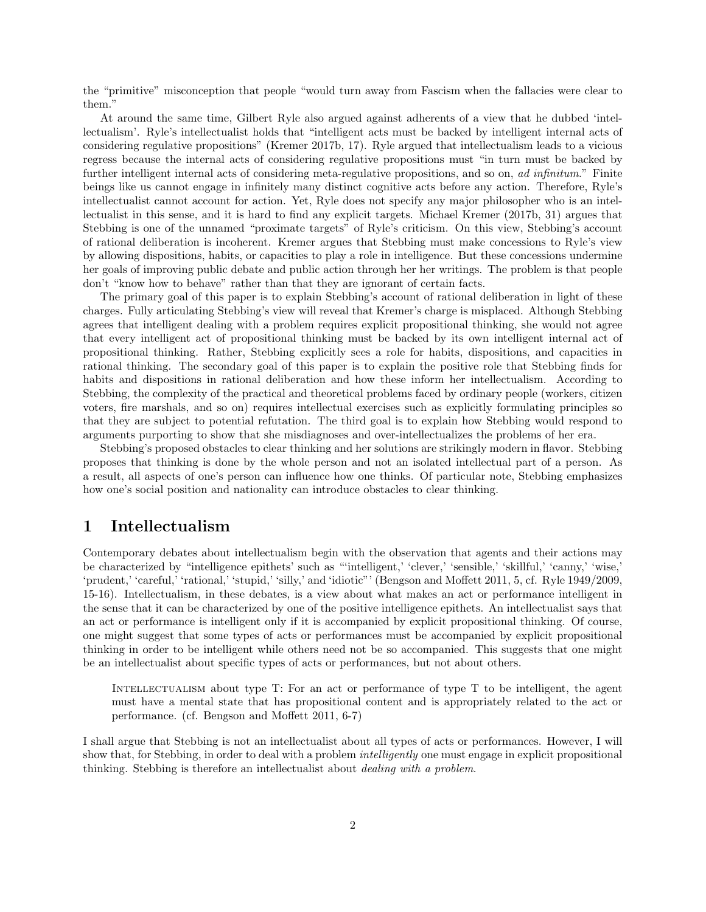the "primitive" misconception that people "would turn away from Fascism when the fallacies were clear to them."

At around the same time, Gilbert Ryle also argued against adherents of a view that he dubbed 'intellectualism'. Ryle's intellectualist holds that "intelligent acts must be backed by intelligent internal acts of considering regulative propositions" (Kremer 2017b, 17). Ryle argued that intellectualism leads to a vicious regress because the internal acts of considering regulative propositions must "in turn must be backed by further intelligent internal acts of considering meta-regulative propositions, and so on, ad infinitum." Finite beings like us cannot engage in infinitely many distinct cognitive acts before any action. Therefore, Ryle's intellectualist cannot account for action. Yet, Ryle does not specify any major philosopher who is an intellectualist in this sense, and it is hard to find any explicit targets. Michael Kremer (2017b, 31) argues that Stebbing is one of the unnamed "proximate targets" of Ryle's criticism. On this view, Stebbing's account of rational deliberation is incoherent. Kremer argues that Stebbing must make concessions to Ryle's view by allowing dispositions, habits, or capacities to play a role in intelligence. But these concessions undermine her goals of improving public debate and public action through her her writings. The problem is that people don't "know how to behave" rather than that they are ignorant of certain facts.

The primary goal of this paper is to explain Stebbing's account of rational deliberation in light of these charges. Fully articulating Stebbing's view will reveal that Kremer's charge is misplaced. Although Stebbing agrees that intelligent dealing with a problem requires explicit propositional thinking, she would not agree that every intelligent act of propositional thinking must be backed by its own intelligent internal act of propositional thinking. Rather, Stebbing explicitly sees a role for habits, dispositions, and capacities in rational thinking. The secondary goal of this paper is to explain the positive role that Stebbing finds for habits and dispositions in rational deliberation and how these inform her intellectualism. According to Stebbing, the complexity of the practical and theoretical problems faced by ordinary people (workers, citizen voters, fire marshals, and so on) requires intellectual exercises such as explicitly formulating principles so that they are subject to potential refutation. The third goal is to explain how Stebbing would respond to arguments purporting to show that she misdiagnoses and over-intellectualizes the problems of her era.

Stebbing's proposed obstacles to clear thinking and her solutions are strikingly modern in flavor. Stebbing proposes that thinking is done by the whole person and not an isolated intellectual part of a person. As a result, all aspects of one's person can influence how one thinks. Of particular note, Stebbing emphasizes how one's social position and nationality can introduce obstacles to clear thinking.

### 1 Intellectualism

Contemporary debates about intellectualism begin with the observation that agents and their actions may be characterized by "intelligence epithets' such as "'intelligent,' 'clever,' 'sensible,' 'skillful,' 'canny,' 'wise,' 'prudent,' 'careful,' 'rational,' 'stupid,' 'silly,' and 'idiotic"' (Bengson and Moffett 2011, 5, cf. Ryle 1949/2009, 15-16). Intellectualism, in these debates, is a view about what makes an act or performance intelligent in the sense that it can be characterized by one of the positive intelligence epithets. An intellectualist says that an act or performance is intelligent only if it is accompanied by explicit propositional thinking. Of course, one might suggest that some types of acts or performances must be accompanied by explicit propositional thinking in order to be intelligent while others need not be so accompanied. This suggests that one might be an intellectualist about specific types of acts or performances, but not about others.

INTELLECTUALISM about type T: For an act or performance of type T to be intelligent, the agent must have a mental state that has propositional content and is appropriately related to the act or performance. (cf. Bengson and Moffett 2011, 6-7)

I shall argue that Stebbing is not an intellectualist about all types of acts or performances. However, I will show that, for Stebbing, in order to deal with a problem *intelligently* one must engage in explicit propositional thinking. Stebbing is therefore an intellectualist about dealing with a problem.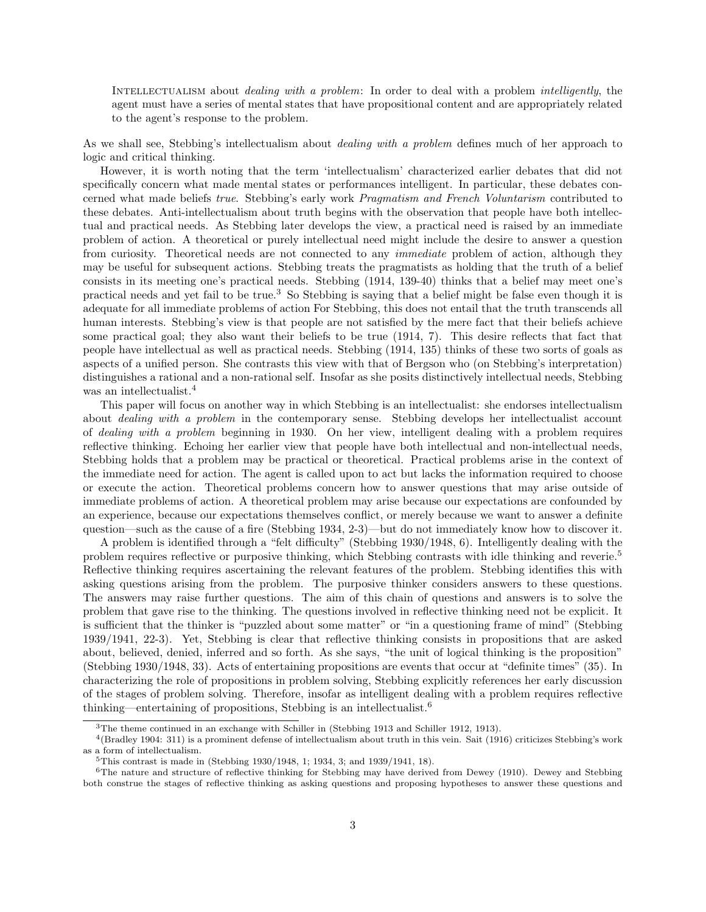INTELLECTUALISM about *dealing with a problem*: In order to deal with a problem *intelligently*, the agent must have a series of mental states that have propositional content and are appropriately related to the agent's response to the problem.

As we shall see, Stebbing's intellectualism about *dealing with a problem* defines much of her approach to logic and critical thinking.

However, it is worth noting that the term 'intellectualism' characterized earlier debates that did not specifically concern what made mental states or performances intelligent. In particular, these debates concerned what made beliefs true. Stebbing's early work Pragmatism and French Voluntarism contributed to these debates. Anti-intellectualism about truth begins with the observation that people have both intellectual and practical needs. As Stebbing later develops the view, a practical need is raised by an immediate problem of action. A theoretical or purely intellectual need might include the desire to answer a question from curiosity. Theoretical needs are not connected to any *immediate* problem of action, although they may be useful for subsequent actions. Stebbing treats the pragmatists as holding that the truth of a belief consists in its meeting one's practical needs. Stebbing (1914, 139-40) thinks that a belief may meet one's practical needs and yet fail to be true.<sup>3</sup> So Stebbing is saying that a belief might be false even though it is adequate for all immediate problems of action For Stebbing, this does not entail that the truth transcends all human interests. Stebbing's view is that people are not satisfied by the mere fact that their beliefs achieve some practical goal; they also want their beliefs to be true (1914, 7). This desire reflects that fact that people have intellectual as well as practical needs. Stebbing (1914, 135) thinks of these two sorts of goals as aspects of a unified person. She contrasts this view with that of Bergson who (on Stebbing's interpretation) distinguishes a rational and a non-rational self. Insofar as she posits distinctively intellectual needs, Stebbing was an intellectualist.<sup>4</sup>

This paper will focus on another way in which Stebbing is an intellectualist: she endorses intellectualism about dealing with a problem in the contemporary sense. Stebbing develops her intellectualist account of dealing with a problem beginning in 1930. On her view, intelligent dealing with a problem requires reflective thinking. Echoing her earlier view that people have both intellectual and non-intellectual needs, Stebbing holds that a problem may be practical or theoretical. Practical problems arise in the context of the immediate need for action. The agent is called upon to act but lacks the information required to choose or execute the action. Theoretical problems concern how to answer questions that may arise outside of immediate problems of action. A theoretical problem may arise because our expectations are confounded by an experience, because our expectations themselves conflict, or merely because we want to answer a definite question—such as the cause of a fire (Stebbing 1934, 2-3)—but do not immediately know how to discover it.

A problem is identified through a "felt difficulty" (Stebbing 1930/1948, 6). Intelligently dealing with the problem requires reflective or purposive thinking, which Stebbing contrasts with idle thinking and reverie.<sup>5</sup> Reflective thinking requires ascertaining the relevant features of the problem. Stebbing identifies this with asking questions arising from the problem. The purposive thinker considers answers to these questions. The answers may raise further questions. The aim of this chain of questions and answers is to solve the problem that gave rise to the thinking. The questions involved in reflective thinking need not be explicit. It is sufficient that the thinker is "puzzled about some matter" or "in a questioning frame of mind" (Stebbing 1939/1941, 22-3). Yet, Stebbing is clear that reflective thinking consists in propositions that are asked about, believed, denied, inferred and so forth. As she says, "the unit of logical thinking is the proposition" (Stebbing 1930/1948, 33). Acts of entertaining propositions are events that occur at "definite times" (35). In characterizing the role of propositions in problem solving, Stebbing explicitly references her early discussion of the stages of problem solving. Therefore, insofar as intelligent dealing with a problem requires reflective thinking—entertaining of propositions, Stebbing is an intellectualist.<sup>6</sup>

<sup>&</sup>lt;sup>3</sup>The theme continued in an exchange with Schiller in (Stebbing 1913 and Schiller 1912, 1913).

<sup>4</sup> (Bradley 1904: 311) is a prominent defense of intellectualism about truth in this vein. Sait (1916) criticizes Stebbing's work as a form of intellectualism.

<sup>5</sup>This contrast is made in (Stebbing 1930/1948, 1; 1934, 3; and 1939/1941, 18).

 ${}^{6}$ The nature and structure of reflective thinking for Stebbing may have derived from Dewey (1910). Dewey and Stebbing both construe the stages of reflective thinking as asking questions and proposing hypotheses to answer these questions and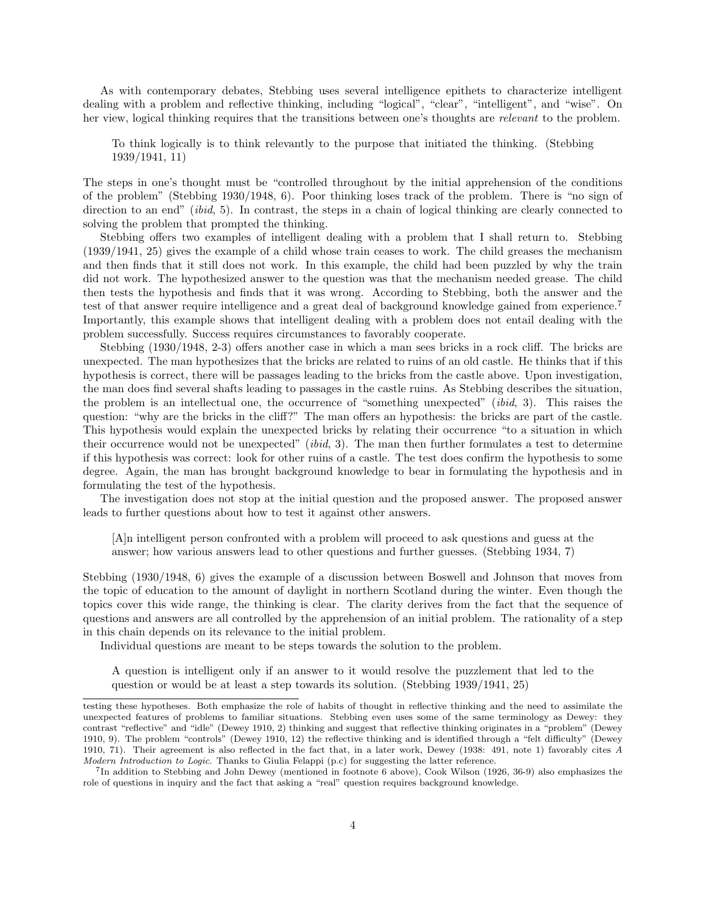As with contemporary debates, Stebbing uses several intelligence epithets to characterize intelligent dealing with a problem and reflective thinking, including "logical", "clear", "intelligent", and "wise". On her view, logical thinking requires that the transitions between one's thoughts are *relevant* to the problem.

To think logically is to think relevantly to the purpose that initiated the thinking. (Stebbing 1939/1941, 11)

The steps in one's thought must be "controlled throughout by the initial apprehension of the conditions of the problem" (Stebbing 1930/1948, 6). Poor thinking loses track of the problem. There is "no sign of direction to an end" *(ibid, 5)*. In contrast, the steps in a chain of logical thinking are clearly connected to solving the problem that prompted the thinking.

Stebbing offers two examples of intelligent dealing with a problem that I shall return to. Stebbing (1939/1941, 25) gives the example of a child whose train ceases to work. The child greases the mechanism and then finds that it still does not work. In this example, the child had been puzzled by why the train did not work. The hypothesized answer to the question was that the mechanism needed grease. The child then tests the hypothesis and finds that it was wrong. According to Stebbing, both the answer and the test of that answer require intelligence and a great deal of background knowledge gained from experience.<sup>7</sup> Importantly, this example shows that intelligent dealing with a problem does not entail dealing with the problem successfully. Success requires circumstances to favorably cooperate.

Stebbing (1930/1948, 2-3) offers another case in which a man sees bricks in a rock cliff. The bricks are unexpected. The man hypothesizes that the bricks are related to ruins of an old castle. He thinks that if this hypothesis is correct, there will be passages leading to the bricks from the castle above. Upon investigation, the man does find several shafts leading to passages in the castle ruins. As Stebbing describes the situation, the problem is an intellectual one, the occurrence of "something unexpected" (ibid, 3). This raises the question: "why are the bricks in the cliff?" The man offers an hypothesis: the bricks are part of the castle. This hypothesis would explain the unexpected bricks by relating their occurrence "to a situation in which their occurrence would not be unexpected" (*ibid*, 3). The man then further formulates a test to determine if this hypothesis was correct: look for other ruins of a castle. The test does confirm the hypothesis to some degree. Again, the man has brought background knowledge to bear in formulating the hypothesis and in formulating the test of the hypothesis.

The investigation does not stop at the initial question and the proposed answer. The proposed answer leads to further questions about how to test it against other answers.

[A]n intelligent person confronted with a problem will proceed to ask questions and guess at the answer; how various answers lead to other questions and further guesses. (Stebbing 1934, 7)

Stebbing (1930/1948, 6) gives the example of a discussion between Boswell and Johnson that moves from the topic of education to the amount of daylight in northern Scotland during the winter. Even though the topics cover this wide range, the thinking is clear. The clarity derives from the fact that the sequence of questions and answers are all controlled by the apprehension of an initial problem. The rationality of a step in this chain depends on its relevance to the initial problem.

Individual questions are meant to be steps towards the solution to the problem.

A question is intelligent only if an answer to it would resolve the puzzlement that led to the question or would be at least a step towards its solution. (Stebbing 1939/1941, 25)

testing these hypotheses. Both emphasize the role of habits of thought in reflective thinking and the need to assimilate the unexpected features of problems to familiar situations. Stebbing even uses some of the same terminology as Dewey: they contrast "reflective" and "idle" (Dewey 1910, 2) thinking and suggest that reflective thinking originates in a "problem" (Dewey 1910, 9). The problem "controls" (Dewey 1910, 12) the reflective thinking and is identified through a "felt difficulty" (Dewey 1910, 71). Their agreement is also reflected in the fact that, in a later work, Dewey (1938: 491, note 1) favorably cites A Modern Introduction to Logic. Thanks to Giulia Felappi (p.c) for suggesting the latter reference.

<sup>7</sup> In addition to Stebbing and John Dewey (mentioned in footnote 6 above), Cook Wilson (1926, 36-9) also emphasizes the role of questions in inquiry and the fact that asking a "real" question requires background knowledge.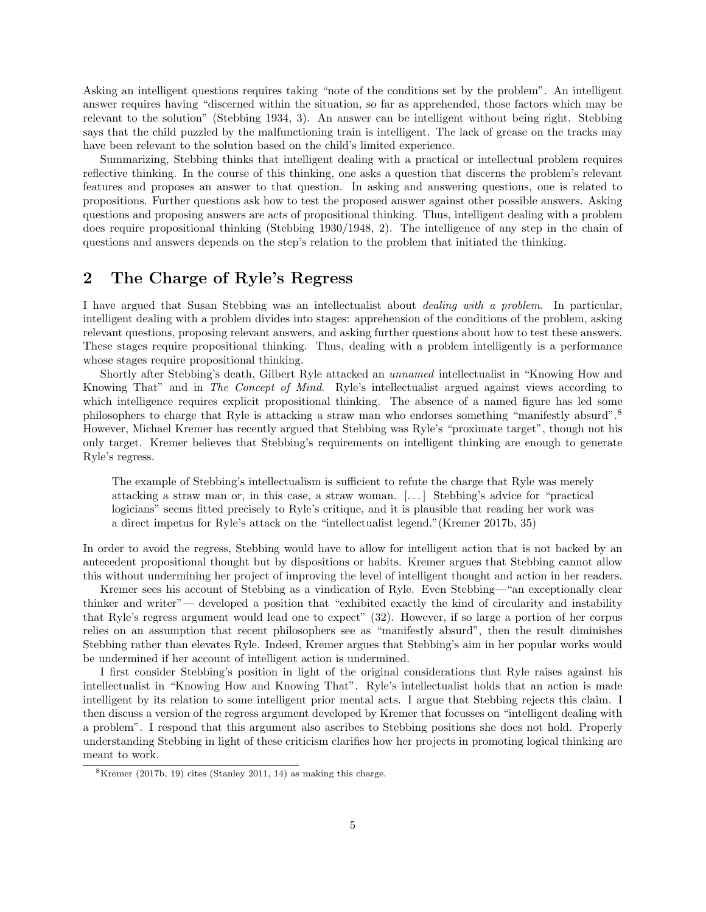Asking an intelligent questions requires taking "note of the conditions set by the problem". An intelligent answer requires having "discerned within the situation, so far as apprehended, those factors which may be relevant to the solution" (Stebbing 1934, 3). An answer can be intelligent without being right. Stebbing says that the child puzzled by the malfunctioning train is intelligent. The lack of grease on the tracks may have been relevant to the solution based on the child's limited experience.

Summarizing, Stebbing thinks that intelligent dealing with a practical or intellectual problem requires reflective thinking. In the course of this thinking, one asks a question that discerns the problem's relevant features and proposes an answer to that question. In asking and answering questions, one is related to propositions. Further questions ask how to test the proposed answer against other possible answers. Asking questions and proposing answers are acts of propositional thinking. Thus, intelligent dealing with a problem does require propositional thinking (Stebbing 1930/1948, 2). The intelligence of any step in the chain of questions and answers depends on the step's relation to the problem that initiated the thinking.

# 2 The Charge of Ryle's Regress

I have argued that Susan Stebbing was an intellectualist about dealing with a problem. In particular, intelligent dealing with a problem divides into stages: apprehension of the conditions of the problem, asking relevant questions, proposing relevant answers, and asking further questions about how to test these answers. These stages require propositional thinking. Thus, dealing with a problem intelligently is a performance whose stages require propositional thinking.

Shortly after Stebbing's death, Gilbert Ryle attacked an unnamed intellectualist in "Knowing How and Knowing That" and in The Concept of Mind. Ryle's intellectualist argued against views according to which intelligence requires explicit propositional thinking. The absence of a named figure has led some philosophers to charge that Ryle is attacking a straw man who endorses something "manifestly absurd".<sup>8</sup> However, Michael Kremer has recently argued that Stebbing was Ryle's "proximate target", though not his only target. Kremer believes that Stebbing's requirements on intelligent thinking are enough to generate Ryle's regress.

The example of Stebbing's intellectualism is sufficient to refute the charge that Ryle was merely attacking a straw man or, in this case, a straw woman. [. . . ] Stebbing's advice for "practical logicians" seems fitted precisely to Ryle's critique, and it is plausible that reading her work was a direct impetus for Ryle's attack on the "intellectualist legend."(Kremer 2017b, 35)

In order to avoid the regress, Stebbing would have to allow for intelligent action that is not backed by an antecedent propositional thought but by dispositions or habits. Kremer argues that Stebbing cannot allow this without undermining her project of improving the level of intelligent thought and action in her readers.

Kremer sees his account of Stebbing as a vindication of Ryle. Even Stebbing—"an exceptionally clear thinker and writer"— developed a position that "exhibited exactly the kind of circularity and instability that Ryle's regress argument would lead one to expect" (32). However, if so large a portion of her corpus relies on an assumption that recent philosophers see as "manifestly absurd", then the result diminishes Stebbing rather than elevates Ryle. Indeed, Kremer argues that Stebbing's aim in her popular works would be undermined if her account of intelligent action is undermined.

I first consider Stebbing's position in light of the original considerations that Ryle raises against his intellectualist in "Knowing How and Knowing That". Ryle's intellectualist holds that an action is made intelligent by its relation to some intelligent prior mental acts. I argue that Stebbing rejects this claim. I then discuss a version of the regress argument developed by Kremer that focusses on "intelligent dealing with a problem". I respond that this argument also ascribes to Stebbing positions she does not hold. Properly understanding Stebbing in light of these criticism clarifies how her projects in promoting logical thinking are meant to work.

 $8$ Kremer (2017b, 19) cites (Stanley 2011, 14) as making this charge.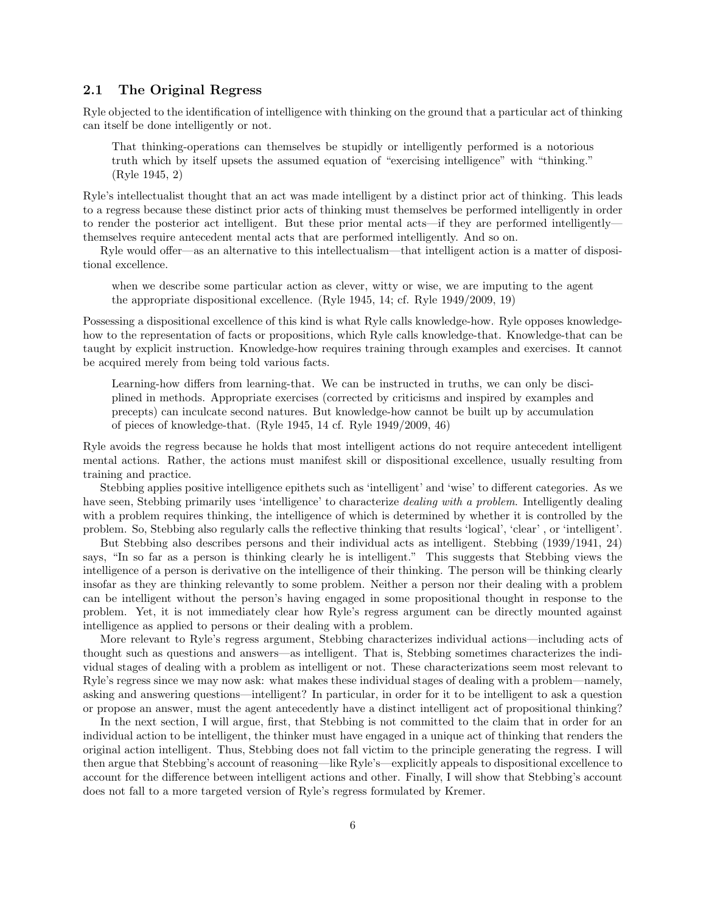### 2.1 The Original Regress

Ryle objected to the identification of intelligence with thinking on the ground that a particular act of thinking can itself be done intelligently or not.

That thinking-operations can themselves be stupidly or intelligently performed is a notorious truth which by itself upsets the assumed equation of "exercising intelligence" with "thinking." (Ryle 1945, 2)

Ryle's intellectualist thought that an act was made intelligent by a distinct prior act of thinking. This leads to a regress because these distinct prior acts of thinking must themselves be performed intelligently in order to render the posterior act intelligent. But these prior mental acts—if they are performed intelligently themselves require antecedent mental acts that are performed intelligently. And so on.

Ryle would offer—as an alternative to this intellectualism—that intelligent action is a matter of dispositional excellence.

when we describe some particular action as clever, witty or wise, we are imputing to the agent the appropriate dispositional excellence. (Ryle 1945, 14; cf. Ryle 1949/2009, 19)

Possessing a dispositional excellence of this kind is what Ryle calls knowledge-how. Ryle opposes knowledgehow to the representation of facts or propositions, which Ryle calls knowledge-that. Knowledge-that can be taught by explicit instruction. Knowledge-how requires training through examples and exercises. It cannot be acquired merely from being told various facts.

Learning-how differs from learning-that. We can be instructed in truths, we can only be disciplined in methods. Appropriate exercises (corrected by criticisms and inspired by examples and precepts) can inculcate second natures. But knowledge-how cannot be built up by accumulation of pieces of knowledge-that. (Ryle 1945, 14 cf. Ryle 1949/2009, 46)

Ryle avoids the regress because he holds that most intelligent actions do not require antecedent intelligent mental actions. Rather, the actions must manifest skill or dispositional excellence, usually resulting from training and practice.

Stebbing applies positive intelligence epithets such as 'intelligent' and 'wise' to different categories. As we have seen, Stebbing primarily uses 'intelligence' to characterize *dealing with a problem*. Intelligently dealing with a problem requires thinking, the intelligence of which is determined by whether it is controlled by the problem. So, Stebbing also regularly calls the reflective thinking that results 'logical', 'clear' , or 'intelligent'.

But Stebbing also describes persons and their individual acts as intelligent. Stebbing (1939/1941, 24) says, "In so far as a person is thinking clearly he is intelligent." This suggests that Stebbing views the intelligence of a person is derivative on the intelligence of their thinking. The person will be thinking clearly insofar as they are thinking relevantly to some problem. Neither a person nor their dealing with a problem can be intelligent without the person's having engaged in some propositional thought in response to the problem. Yet, it is not immediately clear how Ryle's regress argument can be directly mounted against intelligence as applied to persons or their dealing with a problem.

More relevant to Ryle's regress argument, Stebbing characterizes individual actions—including acts of thought such as questions and answers—as intelligent. That is, Stebbing sometimes characterizes the individual stages of dealing with a problem as intelligent or not. These characterizations seem most relevant to Ryle's regress since we may now ask: what makes these individual stages of dealing with a problem—namely, asking and answering questions—intelligent? In particular, in order for it to be intelligent to ask a question or propose an answer, must the agent antecedently have a distinct intelligent act of propositional thinking?

In the next section, I will argue, first, that Stebbing is not committed to the claim that in order for an individual action to be intelligent, the thinker must have engaged in a unique act of thinking that renders the original action intelligent. Thus, Stebbing does not fall victim to the principle generating the regress. I will then argue that Stebbing's account of reasoning—like Ryle's—explicitly appeals to dispositional excellence to account for the difference between intelligent actions and other. Finally, I will show that Stebbing's account does not fall to a more targeted version of Ryle's regress formulated by Kremer.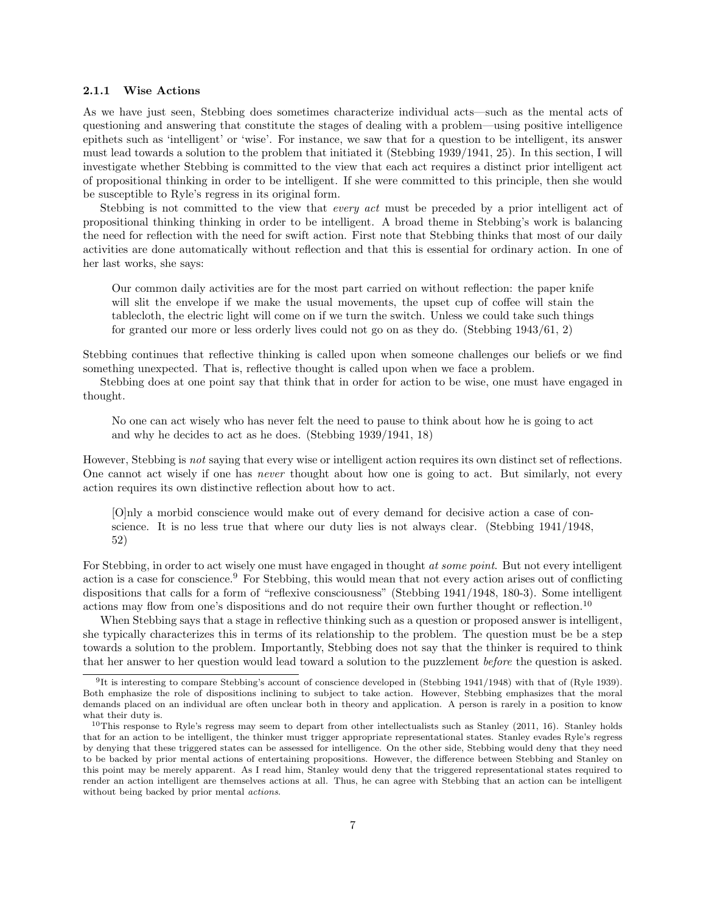#### 2.1.1 Wise Actions

As we have just seen, Stebbing does sometimes characterize individual acts—such as the mental acts of questioning and answering that constitute the stages of dealing with a problem—using positive intelligence epithets such as 'intelligent' or 'wise'. For instance, we saw that for a question to be intelligent, its answer must lead towards a solution to the problem that initiated it (Stebbing 1939/1941, 25). In this section, I will investigate whether Stebbing is committed to the view that each act requires a distinct prior intelligent act of propositional thinking in order to be intelligent. If she were committed to this principle, then she would be susceptible to Ryle's regress in its original form.

Stebbing is not committed to the view that *every act* must be preceded by a prior intelligent act of propositional thinking thinking in order to be intelligent. A broad theme in Stebbing's work is balancing the need for reflection with the need for swift action. First note that Stebbing thinks that most of our daily activities are done automatically without reflection and that this is essential for ordinary action. In one of her last works, she says:

Our common daily activities are for the most part carried on without reflection: the paper knife will slit the envelope if we make the usual movements, the upset cup of coffee will stain the tablecloth, the electric light will come on if we turn the switch. Unless we could take such things for granted our more or less orderly lives could not go on as they do. (Stebbing 1943/61, 2)

Stebbing continues that reflective thinking is called upon when someone challenges our beliefs or we find something unexpected. That is, reflective thought is called upon when we face a problem.

Stebbing does at one point say that think that in order for action to be wise, one must have engaged in thought.

No one can act wisely who has never felt the need to pause to think about how he is going to act and why he decides to act as he does. (Stebbing 1939/1941, 18)

However, Stebbing is not saying that every wise or intelligent action requires its own distinct set of reflections. One cannot act wisely if one has never thought about how one is going to act. But similarly, not every action requires its own distinctive reflection about how to act.

[O]nly a morbid conscience would make out of every demand for decisive action a case of conscience. It is no less true that where our duty lies is not always clear. (Stebbing 1941/1948, 52)

For Stebbing, in order to act wisely one must have engaged in thought at some point. But not every intelligent action is a case for conscience.<sup>9</sup> For Stebbing, this would mean that not every action arises out of conflicting dispositions that calls for a form of "reflexive consciousness" (Stebbing 1941/1948, 180-3). Some intelligent actions may flow from one's dispositions and do not require their own further thought or reflection.<sup>10</sup>

When Stebbing says that a stage in reflective thinking such as a question or proposed answer is intelligent, she typically characterizes this in terms of its relationship to the problem. The question must be be a step towards a solution to the problem. Importantly, Stebbing does not say that the thinker is required to think that her answer to her question would lead toward a solution to the puzzlement before the question is asked.

<sup>9</sup> It is interesting to compare Stebbing's account of conscience developed in (Stebbing 1941/1948) with that of (Ryle 1939). Both emphasize the role of dispositions inclining to subject to take action. However, Stebbing emphasizes that the moral demands placed on an individual are often unclear both in theory and application. A person is rarely in a position to know what their duty is.

<sup>&</sup>lt;sup>10</sup>This response to Ryle's regress may seem to depart from other intellectualists such as Stanley (2011, 16). Stanley holds that for an action to be intelligent, the thinker must trigger appropriate representational states. Stanley evades Ryle's regress by denying that these triggered states can be assessed for intelligence. On the other side, Stebbing would deny that they need to be backed by prior mental actions of entertaining propositions. However, the difference between Stebbing and Stanley on this point may be merely apparent. As I read him, Stanley would deny that the triggered representational states required to render an action intelligent are themselves actions at all. Thus, he can agree with Stebbing that an action can be intelligent without being backed by prior mental actions.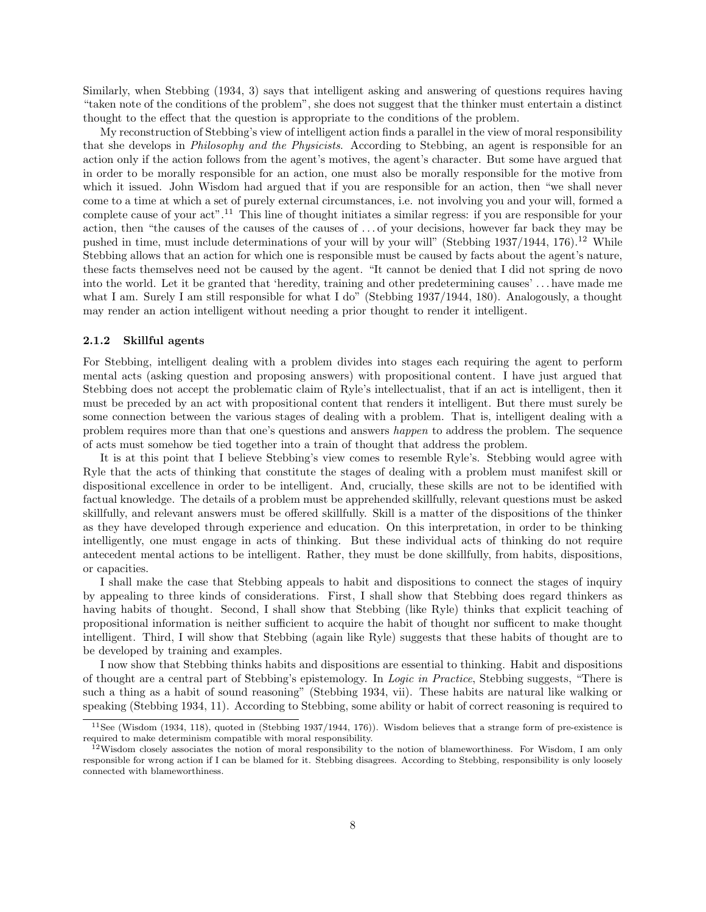Similarly, when Stebbing (1934, 3) says that intelligent asking and answering of questions requires having "taken note of the conditions of the problem", she does not suggest that the thinker must entertain a distinct thought to the effect that the question is appropriate to the conditions of the problem.

My reconstruction of Stebbing's view of intelligent action finds a parallel in the view of moral responsibility that she develops in *Philosophy and the Physicists*. According to Stebbing, an agent is responsible for an action only if the action follows from the agent's motives, the agent's character. But some have argued that in order to be morally responsible for an action, one must also be morally responsible for the motive from which it issued. John Wisdom had argued that if you are responsible for an action, then "we shall never come to a time at which a set of purely external circumstances, i.e. not involving you and your will, formed a complete cause of your act".<sup>11</sup> This line of thought initiates a similar regress: if you are responsible for your action, then "the causes of the causes of the causes of . . . of your decisions, however far back they may be pushed in time, must include determinations of your will by your will" (Stebbing  $1937/1944$ ,  $176$ ).<sup>12</sup> While Stebbing allows that an action for which one is responsible must be caused by facts about the agent's nature, these facts themselves need not be caused by the agent. "It cannot be denied that I did not spring de novo into the world. Let it be granted that 'heredity, training and other predetermining causes' . . . have made me what I am. Surely I am still responsible for what I do" (Stebbing 1937/1944, 180). Analogously, a thought may render an action intelligent without needing a prior thought to render it intelligent.

#### 2.1.2 Skillful agents

For Stebbing, intelligent dealing with a problem divides into stages each requiring the agent to perform mental acts (asking question and proposing answers) with propositional content. I have just argued that Stebbing does not accept the problematic claim of Ryle's intellectualist, that if an act is intelligent, then it must be preceded by an act with propositional content that renders it intelligent. But there must surely be some connection between the various stages of dealing with a problem. That is, intelligent dealing with a problem requires more than that one's questions and answers happen to address the problem. The sequence of acts must somehow be tied together into a train of thought that address the problem.

It is at this point that I believe Stebbing's view comes to resemble Ryle's. Stebbing would agree with Ryle that the acts of thinking that constitute the stages of dealing with a problem must manifest skill or dispositional excellence in order to be intelligent. And, crucially, these skills are not to be identified with factual knowledge. The details of a problem must be apprehended skillfully, relevant questions must be asked skillfully, and relevant answers must be offered skillfully. Skill is a matter of the dispositions of the thinker as they have developed through experience and education. On this interpretation, in order to be thinking intelligently, one must engage in acts of thinking. But these individual acts of thinking do not require antecedent mental actions to be intelligent. Rather, they must be done skillfully, from habits, dispositions, or capacities.

I shall make the case that Stebbing appeals to habit and dispositions to connect the stages of inquiry by appealing to three kinds of considerations. First, I shall show that Stebbing does regard thinkers as having habits of thought. Second, I shall show that Stebbing (like Ryle) thinks that explicit teaching of propositional information is neither sufficient to acquire the habit of thought nor sufficent to make thought intelligent. Third, I will show that Stebbing (again like Ryle) suggests that these habits of thought are to be developed by training and examples.

I now show that Stebbing thinks habits and dispositions are essential to thinking. Habit and dispositions of thought are a central part of Stebbing's epistemology. In Logic in Practice, Stebbing suggests, "There is such a thing as a habit of sound reasoning" (Stebbing 1934, vii). These habits are natural like walking or speaking (Stebbing 1934, 11). According to Stebbing, some ability or habit of correct reasoning is required to

 $11$ See (Wisdom (1934, 118), quoted in (Stebbing 1937/1944, 176)). Wisdom believes that a strange form of pre-existence is required to make determinism compatible with moral responsibility.

 $12$ Wisdom closely associates the notion of moral responsibility to the notion of blameworthiness. For Wisdom, I am only responsible for wrong action if I can be blamed for it. Stebbing disagrees. According to Stebbing, responsibility is only loosely connected with blameworthiness.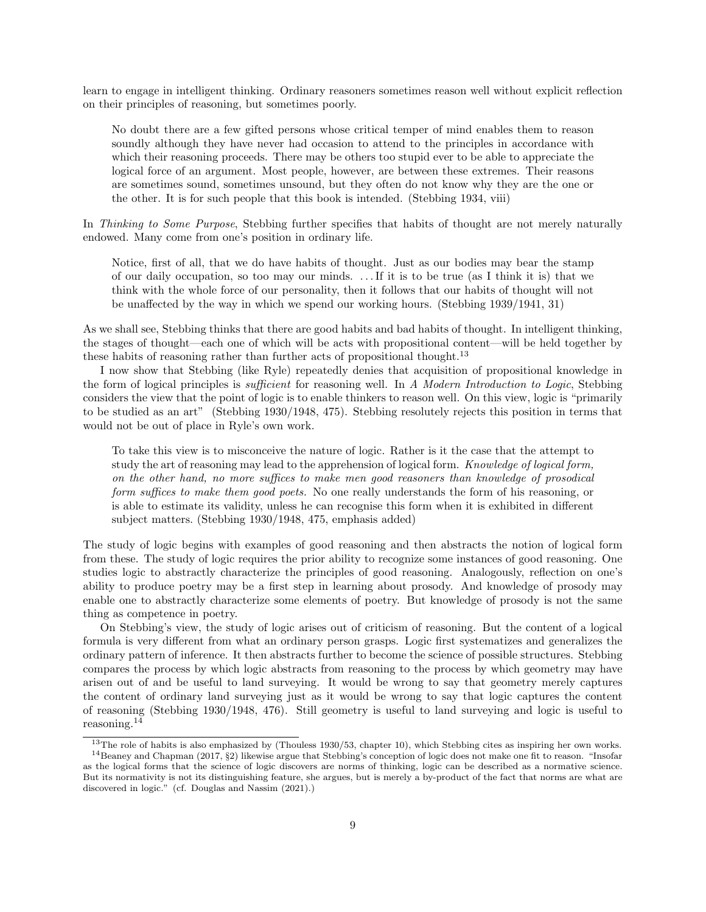learn to engage in intelligent thinking. Ordinary reasoners sometimes reason well without explicit reflection on their principles of reasoning, but sometimes poorly.

No doubt there are a few gifted persons whose critical temper of mind enables them to reason soundly although they have never had occasion to attend to the principles in accordance with which their reasoning proceeds. There may be others too stupid ever to be able to appreciate the logical force of an argument. Most people, however, are between these extremes. Their reasons are sometimes sound, sometimes unsound, but they often do not know why they are the one or the other. It is for such people that this book is intended. (Stebbing 1934, viii)

In Thinking to Some Purpose, Stebbing further specifies that habits of thought are not merely naturally endowed. Many come from one's position in ordinary life.

Notice, first of all, that we do have habits of thought. Just as our bodies may bear the stamp of our daily occupation, so too may our minds. . . . If it is to be true (as I think it is) that we think with the whole force of our personality, then it follows that our habits of thought will not be unaffected by the way in which we spend our working hours. (Stebbing 1939/1941, 31)

As we shall see, Stebbing thinks that there are good habits and bad habits of thought. In intelligent thinking, the stages of thought—each one of which will be acts with propositional content—will be held together by these habits of reasoning rather than further acts of propositional thought.<sup>13</sup>

I now show that Stebbing (like Ryle) repeatedly denies that acquisition of propositional knowledge in the form of logical principles is sufficient for reasoning well. In A Modern Introduction to Logic, Stebbing considers the view that the point of logic is to enable thinkers to reason well. On this view, logic is "primarily to be studied as an art" (Stebbing 1930/1948, 475). Stebbing resolutely rejects this position in terms that would not be out of place in Ryle's own work.

To take this view is to misconceive the nature of logic. Rather is it the case that the attempt to study the art of reasoning may lead to the apprehension of logical form. Knowledge of logical form, on the other hand, no more suffices to make men good reasoners than knowledge of prosodical form suffices to make them good poets. No one really understands the form of his reasoning, or is able to estimate its validity, unless he can recognise this form when it is exhibited in different subject matters. (Stebbing 1930/1948, 475, emphasis added)

The study of logic begins with examples of good reasoning and then abstracts the notion of logical form from these. The study of logic requires the prior ability to recognize some instances of good reasoning. One studies logic to abstractly characterize the principles of good reasoning. Analogously, reflection on one's ability to produce poetry may be a first step in learning about prosody. And knowledge of prosody may enable one to abstractly characterize some elements of poetry. But knowledge of prosody is not the same thing as competence in poetry.

On Stebbing's view, the study of logic arises out of criticism of reasoning. But the content of a logical formula is very different from what an ordinary person grasps. Logic first systematizes and generalizes the ordinary pattern of inference. It then abstracts further to become the science of possible structures. Stebbing compares the process by which logic abstracts from reasoning to the process by which geometry may have arisen out of and be useful to land surveying. It would be wrong to say that geometry merely captures the content of ordinary land surveying just as it would be wrong to say that logic captures the content of reasoning (Stebbing 1930/1948, 476). Still geometry is useful to land surveying and logic is useful to reasoning.<sup>14</sup>

<sup>&</sup>lt;sup>13</sup>The role of habits is also emphasized by (Thouless 1930/53, chapter 10), which Stebbing cites as inspiring her own works.  $14$ Beaney and Chapman (2017, §2) likewise argue that Stebbing's conception of logic does not make one fit to reason. "Insofar as the logical forms that the science of logic discovers are norms of thinking, logic can be described as a normative science. But its normativity is not its distinguishing feature, she argues, but is merely a by-product of the fact that norms are what are discovered in logic." (cf. Douglas and Nassim (2021).)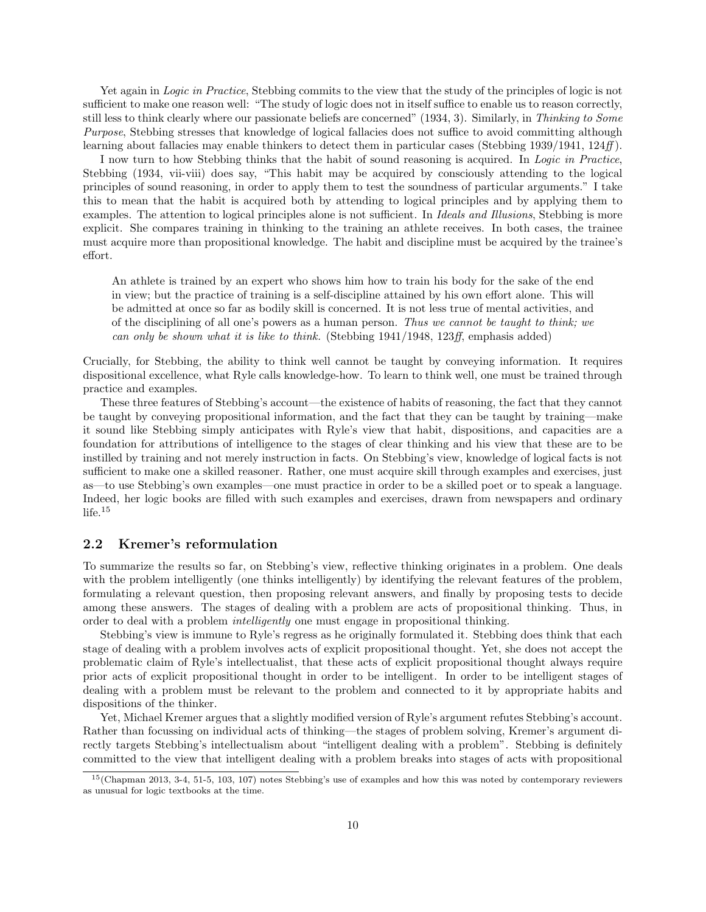Yet again in Logic in Practice, Stebbing commits to the view that the study of the principles of logic is not sufficient to make one reason well: "The study of logic does not in itself suffice to enable us to reason correctly, still less to think clearly where our passionate beliefs are concerned" (1934, 3). Similarly, in Thinking to Some Purpose, Stebbing stresses that knowledge of logical fallacies does not suffice to avoid committing although learning about fallacies may enable thinkers to detect them in particular cases (Stebbing 1939/1941, 124ff).

I now turn to how Stebbing thinks that the habit of sound reasoning is acquired. In Logic in Practice, Stebbing (1934, vii-viii) does say, "This habit may be acquired by consciously attending to the logical principles of sound reasoning, in order to apply them to test the soundness of particular arguments." I take this to mean that the habit is acquired both by attending to logical principles and by applying them to examples. The attention to logical principles alone is not sufficient. In *Ideals and Illusions*, Stebbing is more explicit. She compares training in thinking to the training an athlete receives. In both cases, the trainee must acquire more than propositional knowledge. The habit and discipline must be acquired by the trainee's effort.

An athlete is trained by an expert who shows him how to train his body for the sake of the end in view; but the practice of training is a self-discipline attained by his own effort alone. This will be admitted at once so far as bodily skill is concerned. It is not less true of mental activities, and of the disciplining of all one's powers as a human person. Thus we cannot be taught to think; we can only be shown what it is like to think. (Stebbing  $1941/1948$ ,  $123ff$ , emphasis added)

Crucially, for Stebbing, the ability to think well cannot be taught by conveying information. It requires dispositional excellence, what Ryle calls knowledge-how. To learn to think well, one must be trained through practice and examples.

These three features of Stebbing's account—the existence of habits of reasoning, the fact that they cannot be taught by conveying propositional information, and the fact that they can be taught by training—make it sound like Stebbing simply anticipates with Ryle's view that habit, dispositions, and capacities are a foundation for attributions of intelligence to the stages of clear thinking and his view that these are to be instilled by training and not merely instruction in facts. On Stebbing's view, knowledge of logical facts is not sufficient to make one a skilled reasoner. Rather, one must acquire skill through examples and exercises, just as—to use Stebbing's own examples—one must practice in order to be a skilled poet or to speak a language. Indeed, her logic books are filled with such examples and exercises, drawn from newspapers and ordinary life.<sup>15</sup>

### 2.2 Kremer's reformulation

To summarize the results so far, on Stebbing's view, reflective thinking originates in a problem. One deals with the problem intelligently (one thinks intelligently) by identifying the relevant features of the problem, formulating a relevant question, then proposing relevant answers, and finally by proposing tests to decide among these answers. The stages of dealing with a problem are acts of propositional thinking. Thus, in order to deal with a problem intelligently one must engage in propositional thinking.

Stebbing's view is immune to Ryle's regress as he originally formulated it. Stebbing does think that each stage of dealing with a problem involves acts of explicit propositional thought. Yet, she does not accept the problematic claim of Ryle's intellectualist, that these acts of explicit propositional thought always require prior acts of explicit propositional thought in order to be intelligent. In order to be intelligent stages of dealing with a problem must be relevant to the problem and connected to it by appropriate habits and dispositions of the thinker.

Yet, Michael Kremer argues that a slightly modified version of Ryle's argument refutes Stebbing's account. Rather than focussing on individual acts of thinking—the stages of problem solving, Kremer's argument directly targets Stebbing's intellectualism about "intelligent dealing with a problem". Stebbing is definitely committed to the view that intelligent dealing with a problem breaks into stages of acts with propositional

<sup>15</sup>(Chapman 2013, 3-4, 51-5, 103, 107) notes Stebbing's use of examples and how this was noted by contemporary reviewers as unusual for logic textbooks at the time.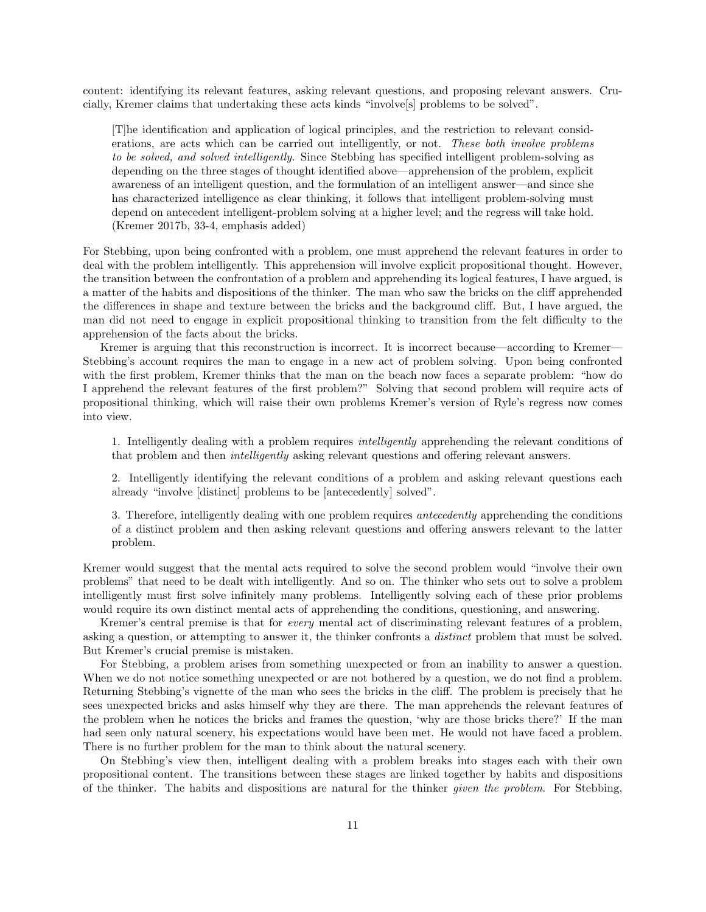content: identifying its relevant features, asking relevant questions, and proposing relevant answers. Crucially, Kremer claims that undertaking these acts kinds "involve[s] problems to be solved".

[T]he identification and application of logical principles, and the restriction to relevant considerations, are acts which can be carried out intelligently, or not. These both involve problems to be solved, and solved intelligently. Since Stebbing has specified intelligent problem-solving as depending on the three stages of thought identified above—apprehension of the problem, explicit awareness of an intelligent question, and the formulation of an intelligent answer—and since she has characterized intelligence as clear thinking, it follows that intelligent problem-solving must depend on antecedent intelligent-problem solving at a higher level; and the regress will take hold. (Kremer 2017b, 33-4, emphasis added)

For Stebbing, upon being confronted with a problem, one must apprehend the relevant features in order to deal with the problem intelligently. This apprehension will involve explicit propositional thought. However, the transition between the confrontation of a problem and apprehending its logical features, I have argued, is a matter of the habits and dispositions of the thinker. The man who saw the bricks on the cliff apprehended the differences in shape and texture between the bricks and the background cliff. But, I have argued, the man did not need to engage in explicit propositional thinking to transition from the felt difficulty to the apprehension of the facts about the bricks.

Kremer is arguing that this reconstruction is incorrect. It is incorrect because—according to Kremer— Stebbing's account requires the man to engage in a new act of problem solving. Upon being confronted with the first problem, Kremer thinks that the man on the beach now faces a separate problem: "how do I apprehend the relevant features of the first problem?" Solving that second problem will require acts of propositional thinking, which will raise their own problems Kremer's version of Ryle's regress now comes into view.

1. Intelligently dealing with a problem requires intelligently apprehending the relevant conditions of that problem and then intelligently asking relevant questions and offering relevant answers.

2. Intelligently identifying the relevant conditions of a problem and asking relevant questions each already "involve [distinct] problems to be [antecedently] solved".

3. Therefore, intelligently dealing with one problem requires antecedently apprehending the conditions of a distinct problem and then asking relevant questions and offering answers relevant to the latter problem.

Kremer would suggest that the mental acts required to solve the second problem would "involve their own problems" that need to be dealt with intelligently. And so on. The thinker who sets out to solve a problem intelligently must first solve infinitely many problems. Intelligently solving each of these prior problems would require its own distinct mental acts of apprehending the conditions, questioning, and answering.

Kremer's central premise is that for every mental act of discriminating relevant features of a problem, asking a question, or attempting to answer it, the thinker confronts a distinct problem that must be solved. But Kremer's crucial premise is mistaken.

For Stebbing, a problem arises from something unexpected or from an inability to answer a question. When we do not notice something unexpected or are not bothered by a question, we do not find a problem. Returning Stebbing's vignette of the man who sees the bricks in the cliff. The problem is precisely that he sees unexpected bricks and asks himself why they are there. The man apprehends the relevant features of the problem when he notices the bricks and frames the question, 'why are those bricks there?' If the man had seen only natural scenery, his expectations would have been met. He would not have faced a problem. There is no further problem for the man to think about the natural scenery.

On Stebbing's view then, intelligent dealing with a problem breaks into stages each with their own propositional content. The transitions between these stages are linked together by habits and dispositions of the thinker. The habits and dispositions are natural for the thinker given the problem. For Stebbing,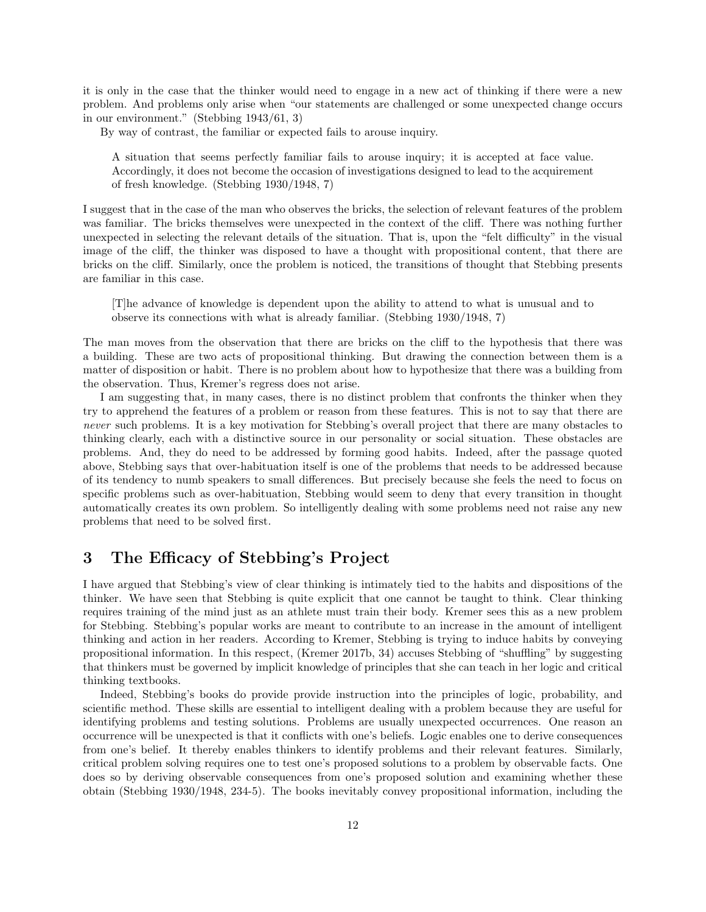it is only in the case that the thinker would need to engage in a new act of thinking if there were a new problem. And problems only arise when "our statements are challenged or some unexpected change occurs in our environment." (Stebbing 1943/61, 3)

By way of contrast, the familiar or expected fails to arouse inquiry.

A situation that seems perfectly familiar fails to arouse inquiry; it is accepted at face value. Accordingly, it does not become the occasion of investigations designed to lead to the acquirement of fresh knowledge. (Stebbing 1930/1948, 7)

I suggest that in the case of the man who observes the bricks, the selection of relevant features of the problem was familiar. The bricks themselves were unexpected in the context of the cliff. There was nothing further unexpected in selecting the relevant details of the situation. That is, upon the "felt difficulty" in the visual image of the cliff, the thinker was disposed to have a thought with propositional content, that there are bricks on the cliff. Similarly, once the problem is noticed, the transitions of thought that Stebbing presents are familiar in this case.

[T]he advance of knowledge is dependent upon the ability to attend to what is unusual and to observe its connections with what is already familiar. (Stebbing 1930/1948, 7)

The man moves from the observation that there are bricks on the cliff to the hypothesis that there was a building. These are two acts of propositional thinking. But drawing the connection between them is a matter of disposition or habit. There is no problem about how to hypothesize that there was a building from the observation. Thus, Kremer's regress does not arise.

I am suggesting that, in many cases, there is no distinct problem that confronts the thinker when they try to apprehend the features of a problem or reason from these features. This is not to say that there are never such problems. It is a key motivation for Stebbing's overall project that there are many obstacles to thinking clearly, each with a distinctive source in our personality or social situation. These obstacles are problems. And, they do need to be addressed by forming good habits. Indeed, after the passage quoted above, Stebbing says that over-habituation itself is one of the problems that needs to be addressed because of its tendency to numb speakers to small differences. But precisely because she feels the need to focus on specific problems such as over-habituation, Stebbing would seem to deny that every transition in thought automatically creates its own problem. So intelligently dealing with some problems need not raise any new problems that need to be solved first.

### 3 The Efficacy of Stebbing's Project

I have argued that Stebbing's view of clear thinking is intimately tied to the habits and dispositions of the thinker. We have seen that Stebbing is quite explicit that one cannot be taught to think. Clear thinking requires training of the mind just as an athlete must train their body. Kremer sees this as a new problem for Stebbing. Stebbing's popular works are meant to contribute to an increase in the amount of intelligent thinking and action in her readers. According to Kremer, Stebbing is trying to induce habits by conveying propositional information. In this respect, (Kremer 2017b, 34) accuses Stebbing of "shuffling" by suggesting that thinkers must be governed by implicit knowledge of principles that she can teach in her logic and critical thinking textbooks.

Indeed, Stebbing's books do provide provide instruction into the principles of logic, probability, and scientific method. These skills are essential to intelligent dealing with a problem because they are useful for identifying problems and testing solutions. Problems are usually unexpected occurrences. One reason an occurrence will be unexpected is that it conflicts with one's beliefs. Logic enables one to derive consequences from one's belief. It thereby enables thinkers to identify problems and their relevant features. Similarly, critical problem solving requires one to test one's proposed solutions to a problem by observable facts. One does so by deriving observable consequences from one's proposed solution and examining whether these obtain (Stebbing 1930/1948, 234-5). The books inevitably convey propositional information, including the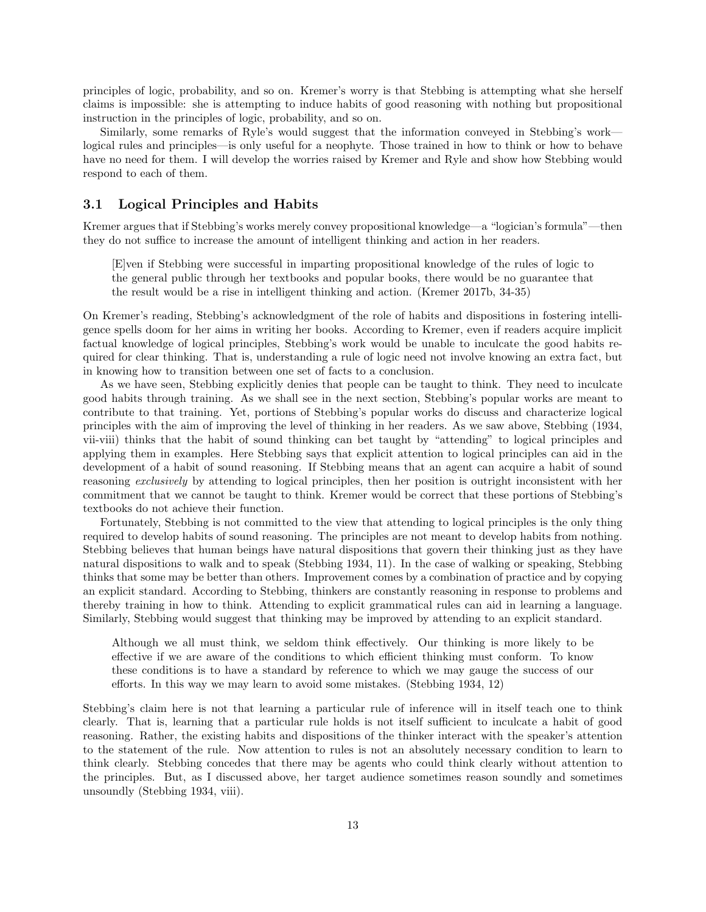principles of logic, probability, and so on. Kremer's worry is that Stebbing is attempting what she herself claims is impossible: she is attempting to induce habits of good reasoning with nothing but propositional instruction in the principles of logic, probability, and so on.

Similarly, some remarks of Ryle's would suggest that the information conveyed in Stebbing's work logical rules and principles—is only useful for a neophyte. Those trained in how to think or how to behave have no need for them. I will develop the worries raised by Kremer and Ryle and show how Stebbing would respond to each of them.

#### 3.1 Logical Principles and Habits

Kremer argues that if Stebbing's works merely convey propositional knowledge—a "logician's formula"—then they do not suffice to increase the amount of intelligent thinking and action in her readers.

[E]ven if Stebbing were successful in imparting propositional knowledge of the rules of logic to the general public through her textbooks and popular books, there would be no guarantee that the result would be a rise in intelligent thinking and action. (Kremer 2017b, 34-35)

On Kremer's reading, Stebbing's acknowledgment of the role of habits and dispositions in fostering intelligence spells doom for her aims in writing her books. According to Kremer, even if readers acquire implicit factual knowledge of logical principles, Stebbing's work would be unable to inculcate the good habits required for clear thinking. That is, understanding a rule of logic need not involve knowing an extra fact, but in knowing how to transition between one set of facts to a conclusion.

As we have seen, Stebbing explicitly denies that people can be taught to think. They need to inculcate good habits through training. As we shall see in the next section, Stebbing's popular works are meant to contribute to that training. Yet, portions of Stebbing's popular works do discuss and characterize logical principles with the aim of improving the level of thinking in her readers. As we saw above, Stebbing (1934, vii-viii) thinks that the habit of sound thinking can bet taught by "attending" to logical principles and applying them in examples. Here Stebbing says that explicit attention to logical principles can aid in the development of a habit of sound reasoning. If Stebbing means that an agent can acquire a habit of sound reasoning exclusively by attending to logical principles, then her position is outright inconsistent with her commitment that we cannot be taught to think. Kremer would be correct that these portions of Stebbing's textbooks do not achieve their function.

Fortunately, Stebbing is not committed to the view that attending to logical principles is the only thing required to develop habits of sound reasoning. The principles are not meant to develop habits from nothing. Stebbing believes that human beings have natural dispositions that govern their thinking just as they have natural dispositions to walk and to speak (Stebbing 1934, 11). In the case of walking or speaking, Stebbing thinks that some may be better than others. Improvement comes by a combination of practice and by copying an explicit standard. According to Stebbing, thinkers are constantly reasoning in response to problems and thereby training in how to think. Attending to explicit grammatical rules can aid in learning a language. Similarly, Stebbing would suggest that thinking may be improved by attending to an explicit standard.

Although we all must think, we seldom think effectively. Our thinking is more likely to be effective if we are aware of the conditions to which efficient thinking must conform. To know these conditions is to have a standard by reference to which we may gauge the success of our efforts. In this way we may learn to avoid some mistakes. (Stebbing 1934, 12)

Stebbing's claim here is not that learning a particular rule of inference will in itself teach one to think clearly. That is, learning that a particular rule holds is not itself sufficient to inculcate a habit of good reasoning. Rather, the existing habits and dispositions of the thinker interact with the speaker's attention to the statement of the rule. Now attention to rules is not an absolutely necessary condition to learn to think clearly. Stebbing concedes that there may be agents who could think clearly without attention to the principles. But, as I discussed above, her target audience sometimes reason soundly and sometimes unsoundly (Stebbing 1934, viii).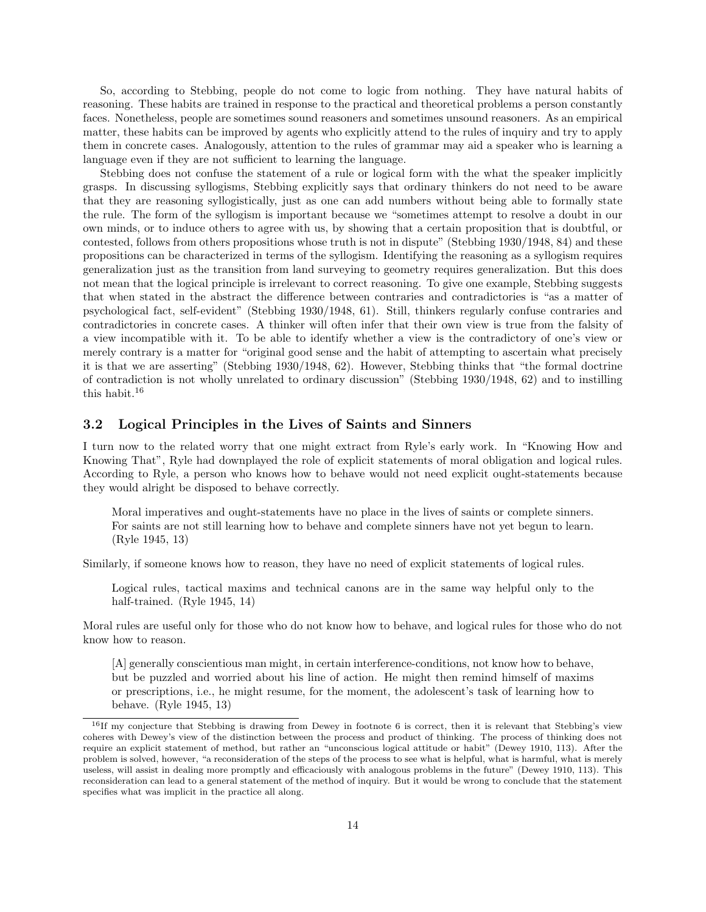So, according to Stebbing, people do not come to logic from nothing. They have natural habits of reasoning. These habits are trained in response to the practical and theoretical problems a person constantly faces. Nonetheless, people are sometimes sound reasoners and sometimes unsound reasoners. As an empirical matter, these habits can be improved by agents who explicitly attend to the rules of inquiry and try to apply them in concrete cases. Analogously, attention to the rules of grammar may aid a speaker who is learning a language even if they are not sufficient to learning the language.

Stebbing does not confuse the statement of a rule or logical form with the what the speaker implicitly grasps. In discussing syllogisms, Stebbing explicitly says that ordinary thinkers do not need to be aware that they are reasoning syllogistically, just as one can add numbers without being able to formally state the rule. The form of the syllogism is important because we "sometimes attempt to resolve a doubt in our own minds, or to induce others to agree with us, by showing that a certain proposition that is doubtful, or contested, follows from others propositions whose truth is not in dispute" (Stebbing 1930/1948, 84) and these propositions can be characterized in terms of the syllogism. Identifying the reasoning as a syllogism requires generalization just as the transition from land surveying to geometry requires generalization. But this does not mean that the logical principle is irrelevant to correct reasoning. To give one example, Stebbing suggests that when stated in the abstract the difference between contraries and contradictories is "as a matter of psychological fact, self-evident" (Stebbing 1930/1948, 61). Still, thinkers regularly confuse contraries and contradictories in concrete cases. A thinker will often infer that their own view is true from the falsity of a view incompatible with it. To be able to identify whether a view is the contradictory of one's view or merely contrary is a matter for "original good sense and the habit of attempting to ascertain what precisely it is that we are asserting" (Stebbing 1930/1948, 62). However, Stebbing thinks that "the formal doctrine of contradiction is not wholly unrelated to ordinary discussion" (Stebbing 1930/1948, 62) and to instilling this habit.<sup>16</sup>

### 3.2 Logical Principles in the Lives of Saints and Sinners

I turn now to the related worry that one might extract from Ryle's early work. In "Knowing How and Knowing That", Ryle had downplayed the role of explicit statements of moral obligation and logical rules. According to Ryle, a person who knows how to behave would not need explicit ought-statements because they would alright be disposed to behave correctly.

Moral imperatives and ought-statements have no place in the lives of saints or complete sinners. For saints are not still learning how to behave and complete sinners have not yet begun to learn. (Ryle 1945, 13)

Similarly, if someone knows how to reason, they have no need of explicit statements of logical rules.

Logical rules, tactical maxims and technical canons are in the same way helpful only to the half-trained. (Ryle 1945, 14)

Moral rules are useful only for those who do not know how to behave, and logical rules for those who do not know how to reason.

[A] generally conscientious man might, in certain interference-conditions, not know how to behave, but be puzzled and worried about his line of action. He might then remind himself of maxims or prescriptions, i.e., he might resume, for the moment, the adolescent's task of learning how to behave. (Ryle 1945, 13)

 $16$ If my conjecture that Stebbing is drawing from Dewey in footnote 6 is correct, then it is relevant that Stebbing's view coheres with Dewey's view of the distinction between the process and product of thinking. The process of thinking does not require an explicit statement of method, but rather an "unconscious logical attitude or habit" (Dewey 1910, 113). After the problem is solved, however, "a reconsideration of the steps of the process to see what is helpful, what is harmful, what is merely useless, will assist in dealing more promptly and efficaciously with analogous problems in the future" (Dewey 1910, 113). This reconsideration can lead to a general statement of the method of inquiry. But it would be wrong to conclude that the statement specifies what was implicit in the practice all along.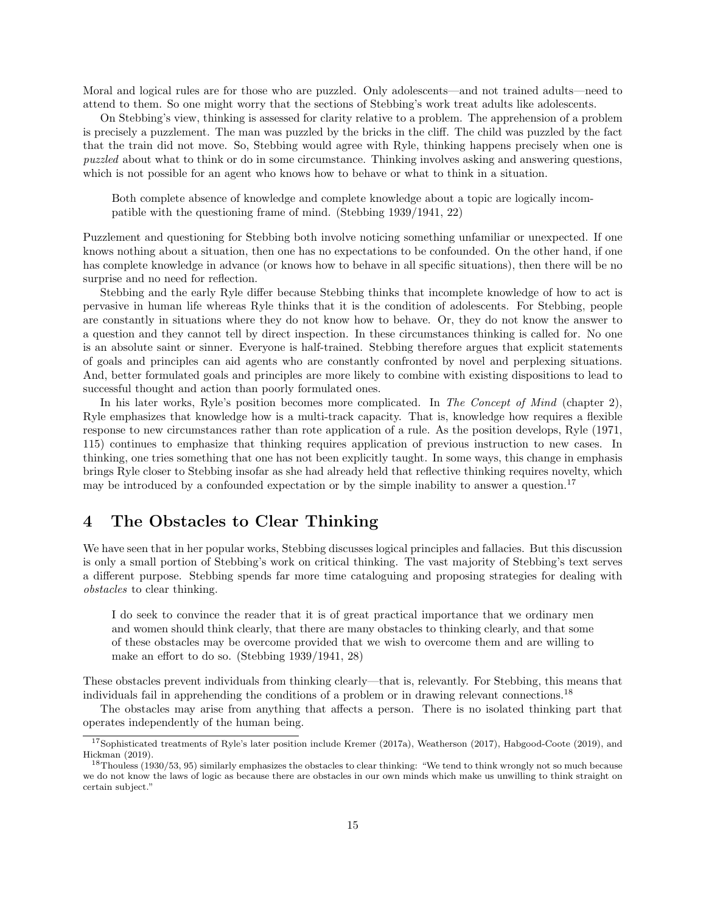Moral and logical rules are for those who are puzzled. Only adolescents—and not trained adults—need to attend to them. So one might worry that the sections of Stebbing's work treat adults like adolescents.

On Stebbing's view, thinking is assessed for clarity relative to a problem. The apprehension of a problem is precisely a puzzlement. The man was puzzled by the bricks in the cliff. The child was puzzled by the fact that the train did not move. So, Stebbing would agree with Ryle, thinking happens precisely when one is puzzled about what to think or do in some circumstance. Thinking involves asking and answering questions, which is not possible for an agent who knows how to behave or what to think in a situation.

Both complete absence of knowledge and complete knowledge about a topic are logically incompatible with the questioning frame of mind. (Stebbing 1939/1941, 22)

Puzzlement and questioning for Stebbing both involve noticing something unfamiliar or unexpected. If one knows nothing about a situation, then one has no expectations to be confounded. On the other hand, if one has complete knowledge in advance (or knows how to behave in all specific situations), then there will be no surprise and no need for reflection.

Stebbing and the early Ryle differ because Stebbing thinks that incomplete knowledge of how to act is pervasive in human life whereas Ryle thinks that it is the condition of adolescents. For Stebbing, people are constantly in situations where they do not know how to behave. Or, they do not know the answer to a question and they cannot tell by direct inspection. In these circumstances thinking is called for. No one is an absolute saint or sinner. Everyone is half-trained. Stebbing therefore argues that explicit statements of goals and principles can aid agents who are constantly confronted by novel and perplexing situations. And, better formulated goals and principles are more likely to combine with existing dispositions to lead to successful thought and action than poorly formulated ones.

In his later works, Ryle's position becomes more complicated. In The Concept of Mind (chapter 2), Ryle emphasizes that knowledge how is a multi-track capacity. That is, knowledge how requires a flexible response to new circumstances rather than rote application of a rule. As the position develops, Ryle (1971, 115) continues to emphasize that thinking requires application of previous instruction to new cases. In thinking, one tries something that one has not been explicitly taught. In some ways, this change in emphasis brings Ryle closer to Stebbing insofar as she had already held that reflective thinking requires novelty, which may be introduced by a confounded expectation or by the simple inability to answer a question.<sup>17</sup>

# 4 The Obstacles to Clear Thinking

We have seen that in her popular works, Stebbing discusses logical principles and fallacies. But this discussion is only a small portion of Stebbing's work on critical thinking. The vast majority of Stebbing's text serves a different purpose. Stebbing spends far more time cataloguing and proposing strategies for dealing with obstacles to clear thinking.

I do seek to convince the reader that it is of great practical importance that we ordinary men and women should think clearly, that there are many obstacles to thinking clearly, and that some of these obstacles may be overcome provided that we wish to overcome them and are willing to make an effort to do so. (Stebbing 1939/1941, 28)

These obstacles prevent individuals from thinking clearly—that is, relevantly. For Stebbing, this means that individuals fail in apprehending the conditions of a problem or in drawing relevant connections.<sup>18</sup>

The obstacles may arise from anything that affects a person. There is no isolated thinking part that operates independently of the human being.

<sup>17</sup>Sophisticated treatments of Ryle's later position include Kremer (2017a), Weatherson (2017), Habgood-Coote (2019), and Hickman (2019).

 $18$ Thouless (1930/53, 95) similarly emphasizes the obstacles to clear thinking: "We tend to think wrongly not so much because we do not know the laws of logic as because there are obstacles in our own minds which make us unwilling to think straight on certain subject."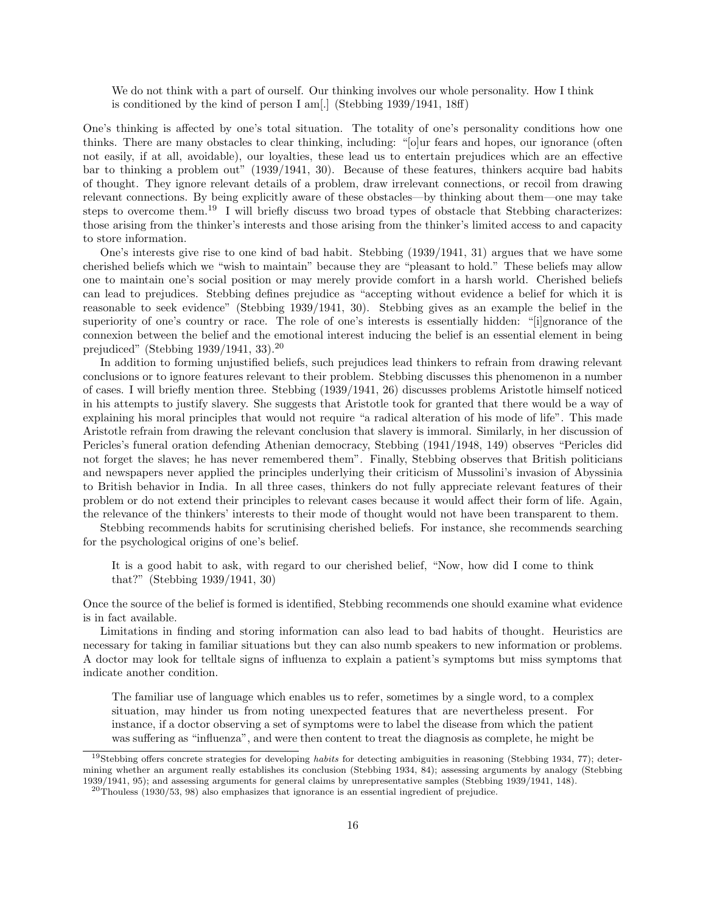We do not think with a part of ourself. Our thinking involves our whole personality. How I think is conditioned by the kind of person I am[.] (Stebbing 1939/1941, 18ff)

One's thinking is affected by one's total situation. The totality of one's personality conditions how one thinks. There are many obstacles to clear thinking, including: "[o]ur fears and hopes, our ignorance (often not easily, if at all, avoidable), our loyalties, these lead us to entertain prejudices which are an effective bar to thinking a problem out" (1939/1941, 30). Because of these features, thinkers acquire bad habits of thought. They ignore relevant details of a problem, draw irrelevant connections, or recoil from drawing relevant connections. By being explicitly aware of these obstacles—by thinking about them—one may take steps to overcome them.<sup>19</sup> I will briefly discuss two broad types of obstacle that Stebbing characterizes: those arising from the thinker's interests and those arising from the thinker's limited access to and capacity to store information.

One's interests give rise to one kind of bad habit. Stebbing (1939/1941, 31) argues that we have some cherished beliefs which we "wish to maintain" because they are "pleasant to hold." These beliefs may allow one to maintain one's social position or may merely provide comfort in a harsh world. Cherished beliefs can lead to prejudices. Stebbing defines prejudice as "accepting without evidence a belief for which it is reasonable to seek evidence" (Stebbing 1939/1941, 30). Stebbing gives as an example the belief in the superiority of one's country or race. The role of one's interests is essentially hidden: "[i]gnorance of the connexion between the belief and the emotional interest inducing the belief is an essential element in being prejudiced" (Stebbing 1939/1941, 33).<sup>20</sup>

In addition to forming unjustified beliefs, such prejudices lead thinkers to refrain from drawing relevant conclusions or to ignore features relevant to their problem. Stebbing discusses this phenomenon in a number of cases. I will briefly mention three. Stebbing (1939/1941, 26) discusses problems Aristotle himself noticed in his attempts to justify slavery. She suggests that Aristotle took for granted that there would be a way of explaining his moral principles that would not require "a radical alteration of his mode of life". This made Aristotle refrain from drawing the relevant conclusion that slavery is immoral. Similarly, in her discussion of Pericles's funeral oration defending Athenian democracy, Stebbing (1941/1948, 149) observes "Pericles did not forget the slaves; he has never remembered them". Finally, Stebbing observes that British politicians and newspapers never applied the principles underlying their criticism of Mussolini's invasion of Abyssinia to British behavior in India. In all three cases, thinkers do not fully appreciate relevant features of their problem or do not extend their principles to relevant cases because it would affect their form of life. Again, the relevance of the thinkers' interests to their mode of thought would not have been transparent to them.

Stebbing recommends habits for scrutinising cherished beliefs. For instance, she recommends searching for the psychological origins of one's belief.

It is a good habit to ask, with regard to our cherished belief, "Now, how did I come to think that?" (Stebbing 1939/1941, 30)

Once the source of the belief is formed is identified, Stebbing recommends one should examine what evidence is in fact available.

Limitations in finding and storing information can also lead to bad habits of thought. Heuristics are necessary for taking in familiar situations but they can also numb speakers to new information or problems. A doctor may look for telltale signs of influenza to explain a patient's symptoms but miss symptoms that indicate another condition.

The familiar use of language which enables us to refer, sometimes by a single word, to a complex situation, may hinder us from noting unexpected features that are nevertheless present. For instance, if a doctor observing a set of symptoms were to label the disease from which the patient was suffering as "influenza", and were then content to treat the diagnosis as complete, he might be

 $19$ Stebbing offers concrete strategies for developing habits for detecting ambiguities in reasoning (Stebbing 1934, 77); determining whether an argument really establishes its conclusion (Stebbing 1934, 84); assessing arguments by analogy (Stebbing 1939/1941, 95); and assessing arguments for general claims by unrepresentative samples (Stebbing 1939/1941, 148).

 $20$ Thouless (1930/53, 98) also emphasizes that ignorance is an essential ingredient of prejudice.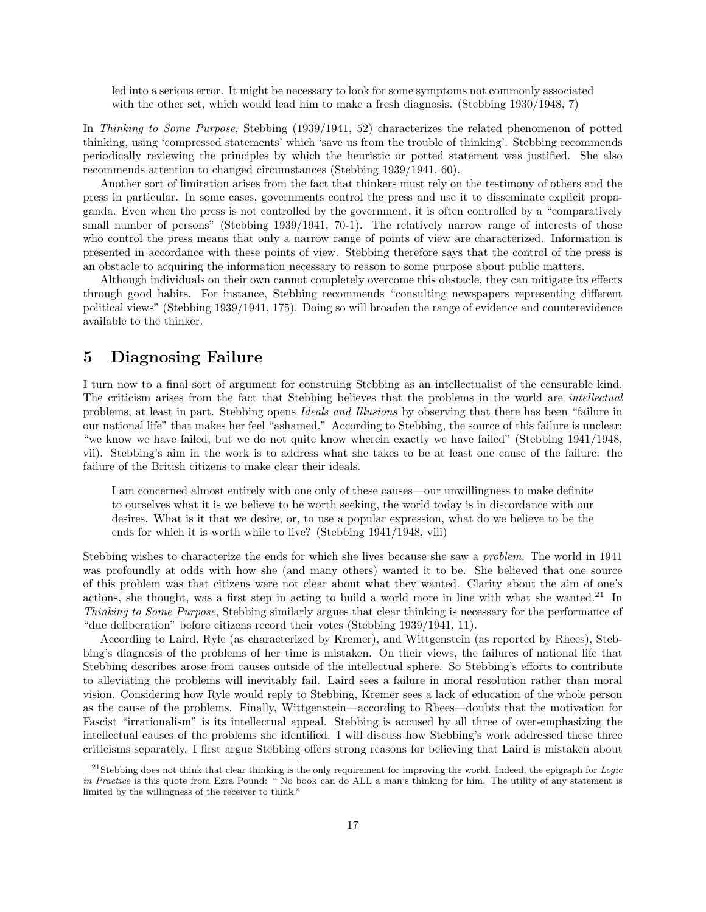led into a serious error. It might be necessary to look for some symptoms not commonly associated with the other set, which would lead him to make a fresh diagnosis. (Stebbing 1930/1948, 7)

In Thinking to Some Purpose, Stebbing (1939/1941, 52) characterizes the related phenomenon of potted thinking, using 'compressed statements' which 'save us from the trouble of thinking'. Stebbing recommends periodically reviewing the principles by which the heuristic or potted statement was justified. She also recommends attention to changed circumstances (Stebbing 1939/1941, 60).

Another sort of limitation arises from the fact that thinkers must rely on the testimony of others and the press in particular. In some cases, governments control the press and use it to disseminate explicit propaganda. Even when the press is not controlled by the government, it is often controlled by a "comparatively small number of persons" (Stebbing 1939/1941, 70-1). The relatively narrow range of interests of those who control the press means that only a narrow range of points of view are characterized. Information is presented in accordance with these points of view. Stebbing therefore says that the control of the press is an obstacle to acquiring the information necessary to reason to some purpose about public matters.

Although individuals on their own cannot completely overcome this obstacle, they can mitigate its effects through good habits. For instance, Stebbing recommends "consulting newspapers representing different political views" (Stebbing 1939/1941, 175). Doing so will broaden the range of evidence and counterevidence available to the thinker.

### 5 Diagnosing Failure

I turn now to a final sort of argument for construing Stebbing as an intellectualist of the censurable kind. The criticism arises from the fact that Stebbing believes that the problems in the world are intellectual problems, at least in part. Stebbing opens Ideals and Illusions by observing that there has been "failure in our national life" that makes her feel "ashamed." According to Stebbing, the source of this failure is unclear: "we know we have failed, but we do not quite know wherein exactly we have failed" (Stebbing 1941/1948, vii). Stebbing's aim in the work is to address what she takes to be at least one cause of the failure: the failure of the British citizens to make clear their ideals.

I am concerned almost entirely with one only of these causes—our unwillingness to make definite to ourselves what it is we believe to be worth seeking, the world today is in discordance with our desires. What is it that we desire, or, to use a popular expression, what do we believe to be the ends for which it is worth while to live? (Stebbing 1941/1948, viii)

Stebbing wishes to characterize the ends for which she lives because she saw a problem. The world in 1941 was profoundly at odds with how she (and many others) wanted it to be. She believed that one source of this problem was that citizens were not clear about what they wanted. Clarity about the aim of one's actions, she thought, was a first step in acting to build a world more in line with what she wanted.<sup>21</sup> In Thinking to Some Purpose, Stebbing similarly argues that clear thinking is necessary for the performance of "due deliberation" before citizens record their votes (Stebbing 1939/1941, 11).

According to Laird, Ryle (as characterized by Kremer), and Wittgenstein (as reported by Rhees), Stebbing's diagnosis of the problems of her time is mistaken. On their views, the failures of national life that Stebbing describes arose from causes outside of the intellectual sphere. So Stebbing's efforts to contribute to alleviating the problems will inevitably fail. Laird sees a failure in moral resolution rather than moral vision. Considering how Ryle would reply to Stebbing, Kremer sees a lack of education of the whole person as the cause of the problems. Finally, Wittgenstein—according to Rhees—doubts that the motivation for Fascist "irrationalism" is its intellectual appeal. Stebbing is accused by all three of over-emphasizing the intellectual causes of the problems she identified. I will discuss how Stebbing's work addressed these three criticisms separately. I first argue Stebbing offers strong reasons for believing that Laird is mistaken about

<sup>&</sup>lt;sup>21</sup>Stebbing does not think that clear thinking is the only requirement for improving the world. Indeed, the epigraph for *Logic* in Practice is this quote from Ezra Pound: " No book can do ALL a man's thinking for him. The utility of any statement is limited by the willingness of the receiver to think."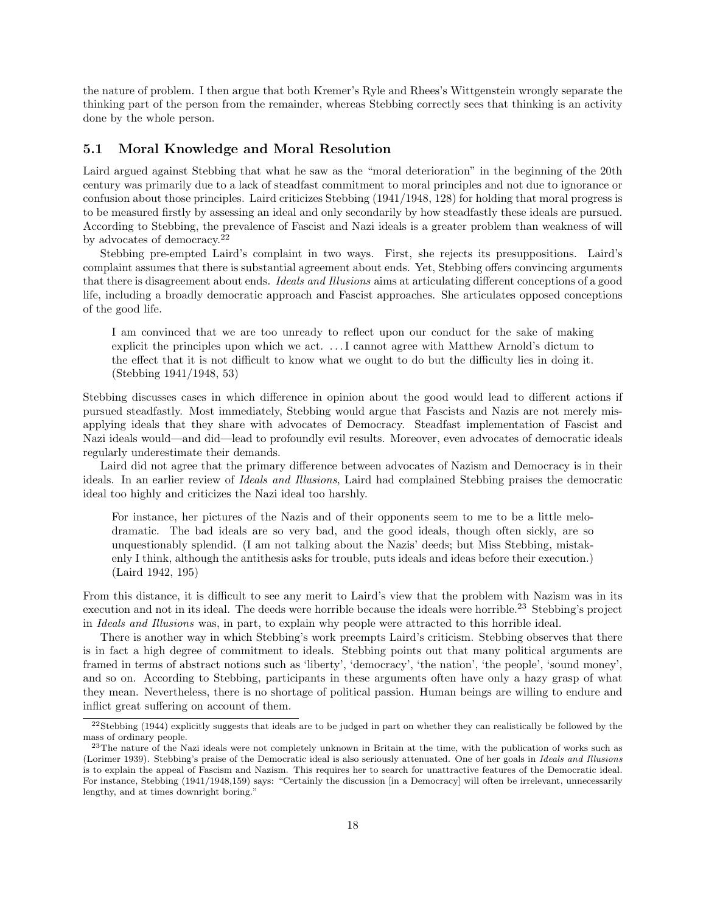the nature of problem. I then argue that both Kremer's Ryle and Rhees's Wittgenstein wrongly separate the thinking part of the person from the remainder, whereas Stebbing correctly sees that thinking is an activity done by the whole person.

### 5.1 Moral Knowledge and Moral Resolution

Laird argued against Stebbing that what he saw as the "moral deterioration" in the beginning of the 20th century was primarily due to a lack of steadfast commitment to moral principles and not due to ignorance or confusion about those principles. Laird criticizes Stebbing (1941/1948, 128) for holding that moral progress is to be measured firstly by assessing an ideal and only secondarily by how steadfastly these ideals are pursued. According to Stebbing, the prevalence of Fascist and Nazi ideals is a greater problem than weakness of will by advocates of democracy.<sup>22</sup>

Stebbing pre-empted Laird's complaint in two ways. First, she rejects its presuppositions. Laird's complaint assumes that there is substantial agreement about ends. Yet, Stebbing offers convincing arguments that there is disagreement about ends. Ideals and Illusions aims at articulating different conceptions of a good life, including a broadly democratic approach and Fascist approaches. She articulates opposed conceptions of the good life.

I am convinced that we are too unready to reflect upon our conduct for the sake of making explicit the principles upon which we act. . . . I cannot agree with Matthew Arnold's dictum to the effect that it is not difficult to know what we ought to do but the difficulty lies in doing it. (Stebbing 1941/1948, 53)

Stebbing discusses cases in which difference in opinion about the good would lead to different actions if pursued steadfastly. Most immediately, Stebbing would argue that Fascists and Nazis are not merely misapplying ideals that they share with advocates of Democracy. Steadfast implementation of Fascist and Nazi ideals would—and did—lead to profoundly evil results. Moreover, even advocates of democratic ideals regularly underestimate their demands.

Laird did not agree that the primary difference between advocates of Nazism and Democracy is in their ideals. In an earlier review of Ideals and Illusions, Laird had complained Stebbing praises the democratic ideal too highly and criticizes the Nazi ideal too harshly.

For instance, her pictures of the Nazis and of their opponents seem to me to be a little melodramatic. The bad ideals are so very bad, and the good ideals, though often sickly, are so unquestionably splendid. (I am not talking about the Nazis' deeds; but Miss Stebbing, mistakenly I think, although the antithesis asks for trouble, puts ideals and ideas before their execution.) (Laird 1942, 195)

From this distance, it is difficult to see any merit to Laird's view that the problem with Nazism was in its execution and not in its ideal. The deeds were horrible because the ideals were horrible.<sup>23</sup> Stebbing's project in Ideals and Illusions was, in part, to explain why people were attracted to this horrible ideal.

There is another way in which Stebbing's work preempts Laird's criticism. Stebbing observes that there is in fact a high degree of commitment to ideals. Stebbing points out that many political arguments are framed in terms of abstract notions such as 'liberty', 'democracy', 'the nation', 'the people', 'sound money', and so on. According to Stebbing, participants in these arguments often have only a hazy grasp of what they mean. Nevertheless, there is no shortage of political passion. Human beings are willing to endure and inflict great suffering on account of them.

 $22$ Stebbing (1944) explicitly suggests that ideals are to be judged in part on whether they can realistically be followed by the mass of ordinary people.

<sup>&</sup>lt;sup>23</sup>The nature of the Nazi ideals were not completely unknown in Britain at the time, with the publication of works such as (Lorimer 1939). Stebbing's praise of the Democratic ideal is also seriously attenuated. One of her goals in Ideals and Illusions is to explain the appeal of Fascism and Nazism. This requires her to search for unattractive features of the Democratic ideal. For instance, Stebbing (1941/1948,159) says: "Certainly the discussion [in a Democracy] will often be irrelevant, unnecessarily lengthy, and at times downright boring."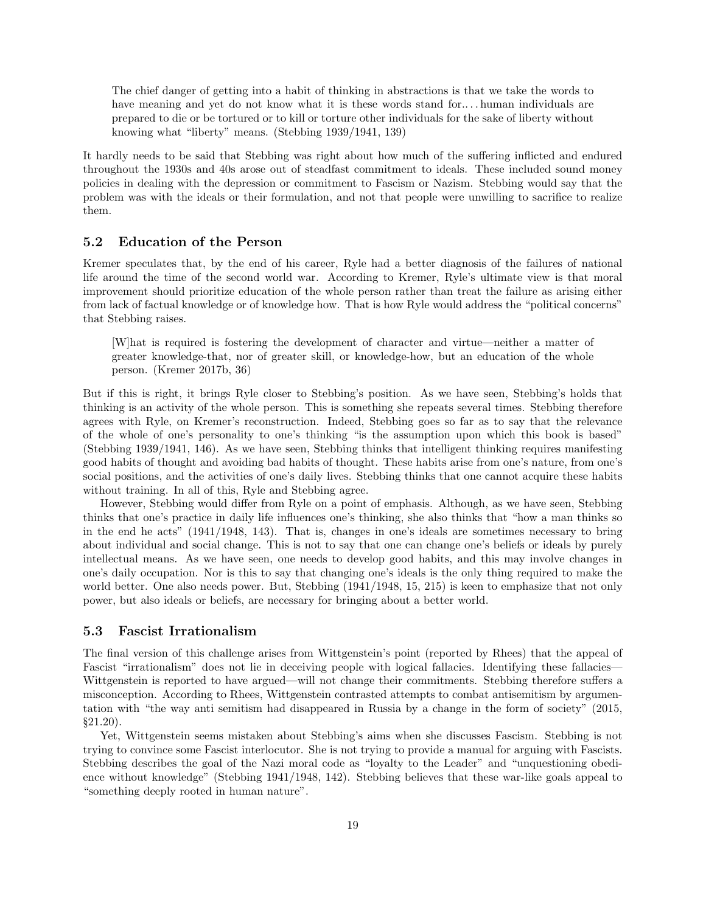The chief danger of getting into a habit of thinking in abstractions is that we take the words to have meaning and yet do not know what it is these words stand for.... human individuals are prepared to die or be tortured or to kill or torture other individuals for the sake of liberty without knowing what "liberty" means. (Stebbing 1939/1941, 139)

It hardly needs to be said that Stebbing was right about how much of the suffering inflicted and endured throughout the 1930s and 40s arose out of steadfast commitment to ideals. These included sound money policies in dealing with the depression or commitment to Fascism or Nazism. Stebbing would say that the problem was with the ideals or their formulation, and not that people were unwilling to sacrifice to realize them.

#### 5.2 Education of the Person

Kremer speculates that, by the end of his career, Ryle had a better diagnosis of the failures of national life around the time of the second world war. According to Kremer, Ryle's ultimate view is that moral improvement should prioritize education of the whole person rather than treat the failure as arising either from lack of factual knowledge or of knowledge how. That is how Ryle would address the "political concerns" that Stebbing raises.

[W]hat is required is fostering the development of character and virtue—neither a matter of greater knowledge-that, nor of greater skill, or knowledge-how, but an education of the whole person. (Kremer 2017b, 36)

But if this is right, it brings Ryle closer to Stebbing's position. As we have seen, Stebbing's holds that thinking is an activity of the whole person. This is something she repeats several times. Stebbing therefore agrees with Ryle, on Kremer's reconstruction. Indeed, Stebbing goes so far as to say that the relevance of the whole of one's personality to one's thinking "is the assumption upon which this book is based" (Stebbing 1939/1941, 146). As we have seen, Stebbing thinks that intelligent thinking requires manifesting good habits of thought and avoiding bad habits of thought. These habits arise from one's nature, from one's social positions, and the activities of one's daily lives. Stebbing thinks that one cannot acquire these habits without training. In all of this, Ryle and Stebbing agree.

However, Stebbing would differ from Ryle on a point of emphasis. Although, as we have seen, Stebbing thinks that one's practice in daily life influences one's thinking, she also thinks that "how a man thinks so in the end he acts" (1941/1948, 143). That is, changes in one's ideals are sometimes necessary to bring about individual and social change. This is not to say that one can change one's beliefs or ideals by purely intellectual means. As we have seen, one needs to develop good habits, and this may involve changes in one's daily occupation. Nor is this to say that changing one's ideals is the only thing required to make the world better. One also needs power. But, Stebbing (1941/1948, 15, 215) is keen to emphasize that not only power, but also ideals or beliefs, are necessary for bringing about a better world.

#### 5.3 Fascist Irrationalism

The final version of this challenge arises from Wittgenstein's point (reported by Rhees) that the appeal of Fascist "irrationalism" does not lie in deceiving people with logical fallacies. Identifying these fallacies— Wittgenstein is reported to have argued—will not change their commitments. Stebbing therefore suffers a misconception. According to Rhees, Wittgenstein contrasted attempts to combat antisemitism by argumentation with "the way anti semitism had disappeared in Russia by a change in the form of society" (2015, §21.20).

Yet, Wittgenstein seems mistaken about Stebbing's aims when she discusses Fascism. Stebbing is not trying to convince some Fascist interlocutor. She is not trying to provide a manual for arguing with Fascists. Stebbing describes the goal of the Nazi moral code as "loyalty to the Leader" and "unquestioning obedience without knowledge" (Stebbing 1941/1948, 142). Stebbing believes that these war-like goals appeal to "something deeply rooted in human nature".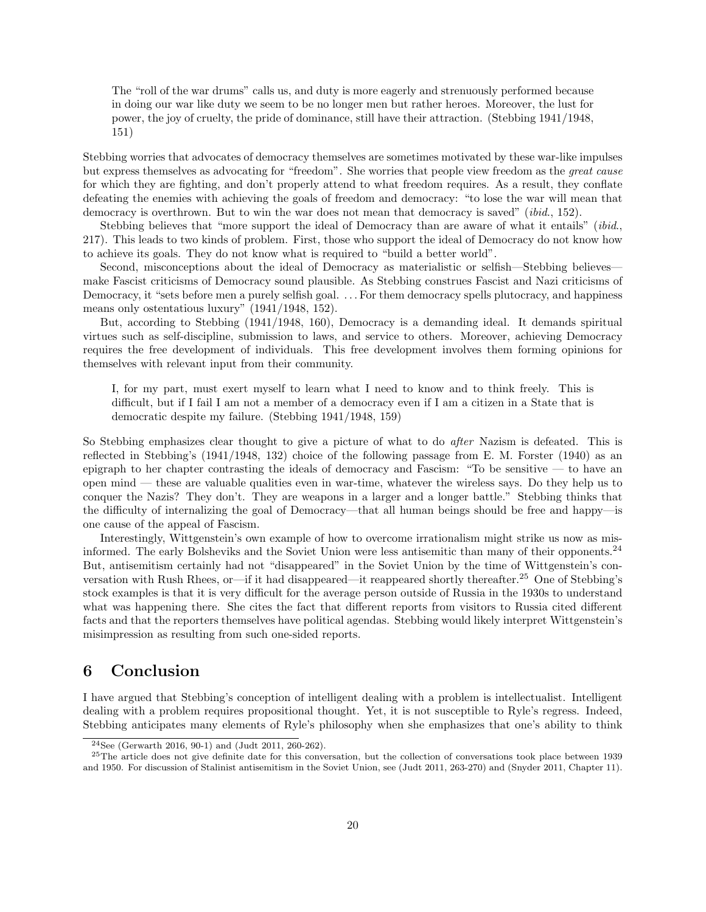The "roll of the war drums" calls us, and duty is more eagerly and strenuously performed because in doing our war like duty we seem to be no longer men but rather heroes. Moreover, the lust for power, the joy of cruelty, the pride of dominance, still have their attraction. (Stebbing 1941/1948, 151)

Stebbing worries that advocates of democracy themselves are sometimes motivated by these war-like impulses but express themselves as advocating for "freedom". She worries that people view freedom as the great cause for which they are fighting, and don't properly attend to what freedom requires. As a result, they conflate defeating the enemies with achieving the goals of freedom and democracy: "to lose the war will mean that democracy is overthrown. But to win the war does not mean that democracy is saved" (*ibid.*, 152).

Stebbing believes that "more support the ideal of Democracy than are aware of what it entails" *(ibid.,* 217). This leads to two kinds of problem. First, those who support the ideal of Democracy do not know how to achieve its goals. They do not know what is required to "build a better world".

Second, misconceptions about the ideal of Democracy as materialistic or selfish—Stebbing believes make Fascist criticisms of Democracy sound plausible. As Stebbing construes Fascist and Nazi criticisms of Democracy, it "sets before men a purely selfish goal. . . . For them democracy spells plutocracy, and happiness means only ostentatious luxury" (1941/1948, 152).

But, according to Stebbing (1941/1948, 160), Democracy is a demanding ideal. It demands spiritual virtues such as self-discipline, submission to laws, and service to others. Moreover, achieving Democracy requires the free development of individuals. This free development involves them forming opinions for themselves with relevant input from their community.

I, for my part, must exert myself to learn what I need to know and to think freely. This is difficult, but if I fail I am not a member of a democracy even if I am a citizen in a State that is democratic despite my failure. (Stebbing 1941/1948, 159)

So Stebbing emphasizes clear thought to give a picture of what to do *after* Nazism is defeated. This is reflected in Stebbing's (1941/1948, 132) choice of the following passage from E. M. Forster (1940) as an epigraph to her chapter contrasting the ideals of democracy and Fascism: "To be sensitive — to have an open mind — these are valuable qualities even in war-time, whatever the wireless says. Do they help us to conquer the Nazis? They don't. They are weapons in a larger and a longer battle." Stebbing thinks that the difficulty of internalizing the goal of Democracy—that all human beings should be free and happy—is one cause of the appeal of Fascism.

Interestingly, Wittgenstein's own example of how to overcome irrationalism might strike us now as misinformed. The early Bolsheviks and the Soviet Union were less antisemitic than many of their opponents.<sup>24</sup> But, antisemitism certainly had not "disappeared" in the Soviet Union by the time of Wittgenstein's conversation with Rush Rhees, or—if it had disappeared—it reappeared shortly thereafter.<sup>25</sup> One of Stebbing's stock examples is that it is very difficult for the average person outside of Russia in the 1930s to understand what was happening there. She cites the fact that different reports from visitors to Russia cited different facts and that the reporters themselves have political agendas. Stebbing would likely interpret Wittgenstein's misimpression as resulting from such one-sided reports.

# 6 Conclusion

I have argued that Stebbing's conception of intelligent dealing with a problem is intellectualist. Intelligent dealing with a problem requires propositional thought. Yet, it is not susceptible to Ryle's regress. Indeed, Stebbing anticipates many elements of Ryle's philosophy when she emphasizes that one's ability to think

<sup>24</sup>See (Gerwarth 2016, 90-1) and (Judt 2011, 260-262).

 $^{25}$ The article does not give definite date for this conversation, but the collection of conversations took place between 1939 and 1950. For discussion of Stalinist antisemitism in the Soviet Union, see (Judt 2011, 263-270) and (Snyder 2011, Chapter 11).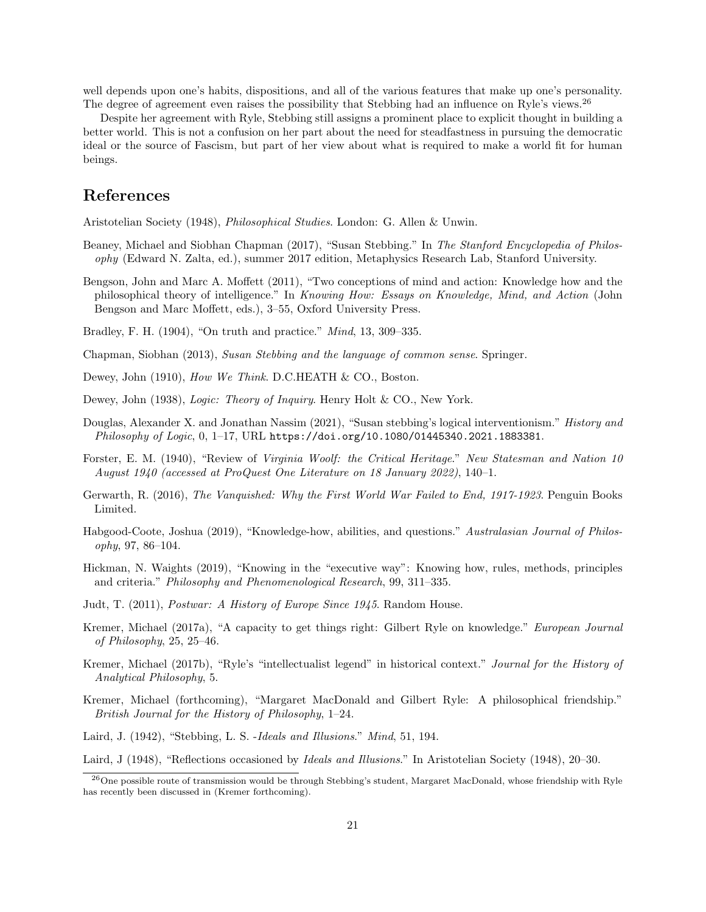well depends upon one's habits, dispositions, and all of the various features that make up one's personality. The degree of agreement even raises the possibility that Stebbing had an influence on Ryle's views.<sup>26</sup>

Despite her agreement with Ryle, Stebbing still assigns a prominent place to explicit thought in building a better world. This is not a confusion on her part about the need for steadfastness in pursuing the democratic ideal or the source of Fascism, but part of her view about what is required to make a world fit for human beings.

# References

Aristotelian Society (1948), Philosophical Studies. London: G. Allen & Unwin.

- Beaney, Michael and Siobhan Chapman (2017), "Susan Stebbing." In The Stanford Encyclopedia of Philosophy (Edward N. Zalta, ed.), summer 2017 edition, Metaphysics Research Lab, Stanford University.
- Bengson, John and Marc A. Moffett (2011), "Two conceptions of mind and action: Knowledge how and the philosophical theory of intelligence." In Knowing How: Essays on Knowledge, Mind, and Action (John Bengson and Marc Moffett, eds.), 3–55, Oxford University Press.
- Bradley, F. H. (1904), "On truth and practice." Mind, 13, 309–335.
- Chapman, Siobhan (2013), Susan Stebbing and the language of common sense. Springer.
- Dewey, John (1910), How We Think. D.C.HEATH & CO., Boston.
- Dewey, John (1938), *Logic: Theory of Inquiry*. Henry Holt & CO., New York.
- Douglas, Alexander X. and Jonathan Nassim (2021), "Susan stebbing's logical interventionism." *History and* Philosophy of Logic, 0, 1-17, URL https://doi.org/10.1080/01445340.2021.1883381.
- Forster, E. M. (1940), "Review of Virginia Woolf: the Critical Heritage." New Statesman and Nation 10 August 1940 (accessed at ProQuest One Literature on 18 January 2022), 140–1.
- Gerwarth, R. (2016), The Vanquished: Why the First World War Failed to End, 1917-1923. Penguin Books Limited.
- Habgood-Coote, Joshua (2019), "Knowledge-how, abilities, and questions." Australasian Journal of Philosophy, 97, 86–104.
- Hickman, N. Waights (2019), "Knowing in the "executive way": Knowing how, rules, methods, principles and criteria." Philosophy and Phenomenological Research, 99, 311–335.
- Judt, T. (2011), Postwar: A History of Europe Since 1945. Random House.
- Kremer, Michael (2017a), "A capacity to get things right: Gilbert Ryle on knowledge." European Journal of Philosophy, 25, 25–46.
- Kremer, Michael (2017b), "Ryle's "intellectualist legend" in historical context." Journal for the History of Analytical Philosophy, 5.
- Kremer, Michael (forthcoming), "Margaret MacDonald and Gilbert Ryle: A philosophical friendship." British Journal for the History of Philosophy, 1–24.
- Laird, J. (1942), "Stebbing, L. S. -Ideals and Illusions." Mind, 51, 194.

Laird, J (1948), "Reflections occasioned by Ideals and Illusions." In Aristotelian Society (1948), 20–30.

<sup>26</sup>One possible route of transmission would be through Stebbing's student, Margaret MacDonald, whose friendship with Ryle has recently been discussed in (Kremer forthcoming).